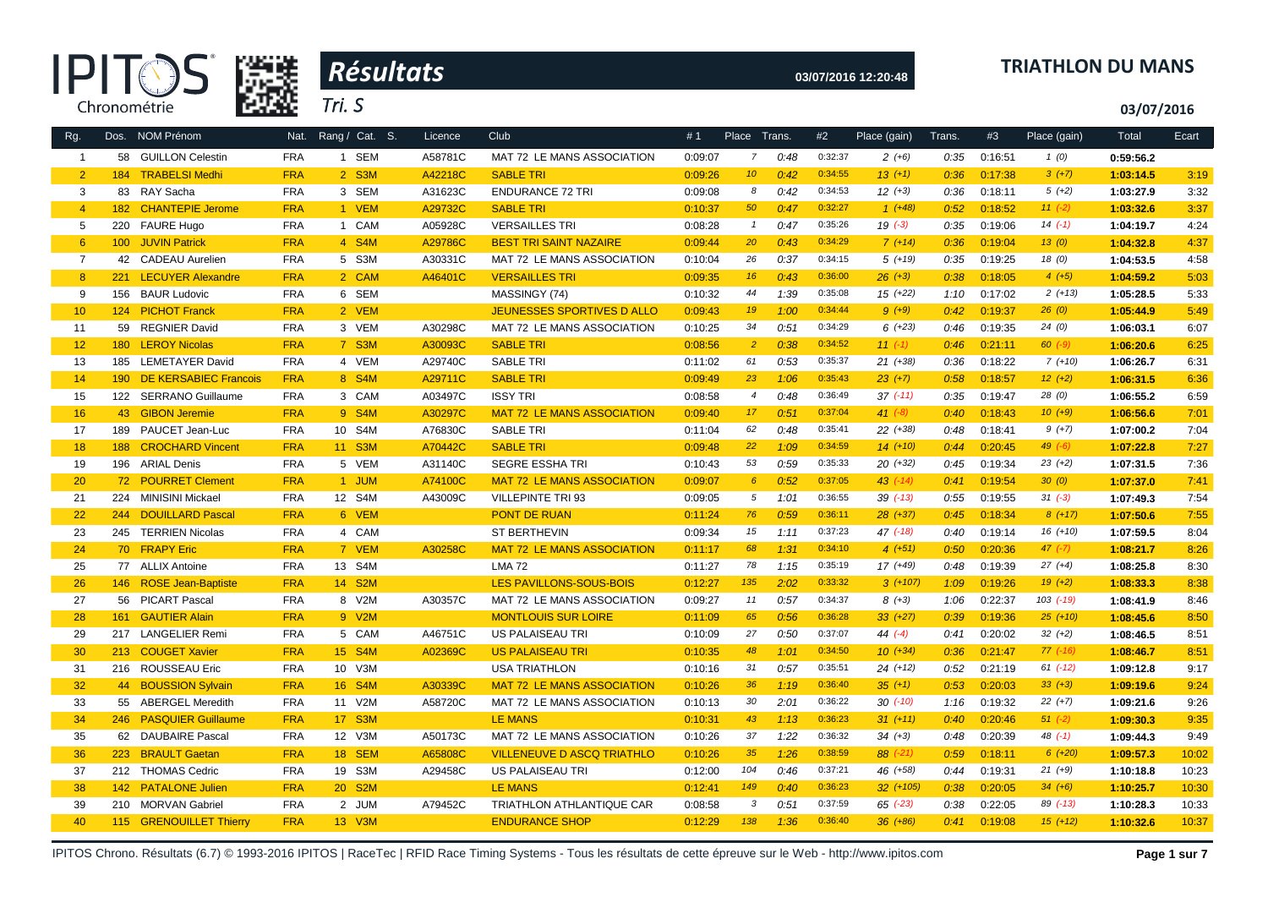



# **03/07/2016 12:20:48 TRIATHLON DU MANS**

**03/07/2016**

| 58 GUILLON Celestin<br><b>FRA</b><br>1 SEM<br>A58781C<br>0:09:07<br>7<br>0:48<br>MAT 72 LE MANS ASSOCIATION<br>$\overline{1}$<br><b>TRABELSI Medhi</b><br><b>FRA</b><br>$2$ S3M<br>A42218C<br>0:09:26<br>10 <sup>°</sup><br>0:42<br>$\overline{2}$<br>184<br><b>SABLE TRI</b><br>3<br>83 RAY Sacha<br><b>FRA</b><br>3 SEM<br>A31623C<br><b>ENDURANCE 72 TRI</b><br>0:09:08<br>8<br>0:42<br>50<br>$\overline{4}$<br>182 CHANTEPIE Jerome<br><b>FRA</b><br>1 VEM<br>A29732C<br><b>SABLE TRI</b><br>0:10:37<br>0:47<br>5<br>220 FAURE Hugo<br><b>FRA</b><br>1 CAM<br>A05928C<br><b>VERSAILLES TRI</b><br>0:08:28<br>0:47<br>$\overline{1}$<br>20<br>$6^{\circ}$<br>100 JUVIN Patrick<br><b>FRA</b><br>4 S4M<br>A29786C<br><b>BEST TRI SAINT NAZAIRE</b><br>0:09:44<br>0:43<br>26<br>$\overline{7}$<br>42 CADEAU Aurelien<br><b>FRA</b><br>5 S3M<br>A30331C<br>0:37<br>MAT 72 LE MANS ASSOCIATION<br>0:10:04<br>8<br><b>LECUYER Alexandre</b><br><b>FRA</b><br>2 CAM<br>A46401C<br><b>VERSAILLES TRI</b><br>0:09:35<br>16<br>0:43<br>221<br>9<br>156 BAUR Ludovic<br><b>FRA</b><br>6 SEM<br>MASSINGY (74)<br>0:10:32<br>44<br>1:39<br>10<br><b>FRA</b><br>2 VEM<br>JEUNESSES SPORTIVES D ALLO<br>0:09:43<br>19<br>1:00<br>124 PICHOT Franck<br>34<br>59 REGNIER David<br><b>FRA</b><br>3 VEM<br>A30298C<br>MAT 72 LE MANS ASSOCIATION<br>0:51<br>11<br>0:10:25<br>$\overline{2}$<br>12<br><b>LEROY Nicolas</b><br><b>FRA</b><br>7 S3M<br>A30093C<br><b>SABLE TRI</b><br>0:08:56<br>0:38<br>180<br>61<br>13<br>185 LEMETAYER David<br><b>FRA</b><br>4 VEM<br>A29740C<br><b>SABLE TRI</b><br>0:11:02<br>0:53<br>23<br>14<br>190 DE KERSABIEC Francois<br><b>FRA</b><br>8 S4M<br>A29711C<br><b>SABLE TRI</b><br>0:09:49<br>1:06<br>0:08:58<br>$\overline{4}$<br>15<br>122 SERRANO Guillaume<br><b>FRA</b><br>3 CAM<br>A03497C<br><b>ISSY TRI</b><br>0:48<br>43 GIBON Jeremie<br><b>FRA</b><br>A30297C<br><b>MAT 72 LE MANS ASSOCIATION</b><br>17 <sub>2</sub><br>0:51<br>16<br>9 S4M<br>0:09:40<br><b>FRA</b><br>A76830C<br><b>SABLE TRI</b><br>62<br>0:48<br>17<br>189 PAUCET Jean-Luc<br>10 S4M<br>0:11:04<br>22<br>18<br>188 CROCHARD Vincent<br><b>FRA</b><br>11 S3M<br>A70442C<br><b>SABLE TRI</b><br>0:09:48<br>1:09<br>53<br>0:59<br>19<br>196 ARIAL Denis<br><b>FRA</b><br>5 VEM<br>A31140C<br><b>SEGRE ESSHA TRI</b><br>0:10:43<br>20<br><b>FRA</b><br>1 JUM<br>0:09:07<br>$6^{\circ}$<br>0:52<br>72 POURRET Clement<br>A74100C<br><b>MAT 72 LE MANS ASSOCIATION</b><br><b>FRA</b><br>12 S4M<br>21<br>224<br>MINISINI Mickael<br>A43009C<br><b>VILLEPINTE TRI 93</b><br>0:09:05<br>5<br>1:01<br>22<br>244 DOUILLARD Pascal<br><b>FRA</b><br>6 VEM<br><b>PONT DE RUAN</b><br>0:11:24<br>76<br>0:59<br>245 TERRIEN Nicolas<br><b>FRA</b><br>4 CAM<br><b>ST BERTHEVIN</b><br>0:09:34<br>15<br>23<br>1:11<br>68<br>1:31<br>70 FRAPY Eric<br><b>FRA</b><br>7 VEM<br>A30258C<br><b>MAT 72 LE MANS ASSOCIATION</b><br>0:11:17<br>24<br>78<br>13 S4M<br><b>LMA 72</b><br>1:15<br>25<br>77 ALLIX Antoine<br><b>FRA</b><br>0:11:27<br>LES PAVILLONS-SOUS-BOIS<br>135<br>2:02<br>26<br>146 ROSE Jean-Baptiste<br><b>FRA</b><br>14 S2M<br>0:12:27<br>27<br>56 PICART Pascal<br><b>FRA</b><br>8 V2M<br>A30357C<br>MAT 72 LE MANS ASSOCIATION<br>0:09:27<br>11<br>0:57<br>28<br>161 GAUTIER Alain<br><b>FRA</b><br>9 V2M<br><b>MONTLOUIS SUR LOIRE</b><br>0:11:09<br>65<br>0:56<br>27<br>0:50<br>29<br>217<br><b>LANGELIER Remi</b><br><b>FRA</b><br>5 CAM<br>A46751C<br>US PALAISEAU TRI<br>0:10:09<br>30<br><b>FRA</b><br>A02369C<br>0:10:35<br>213 COUGET Xavier<br>15 S4M<br><b>US PALAISEAU TRI</b><br>48<br>1:01<br><b>FRA</b><br>31<br>216 ROUSSEAU Eric<br>10 V3M<br><b>USA TRIATHLON</b><br>0:10:16<br>0:57<br>31<br>36<br>32<br>44 BOUSSION Sylvain<br><b>FRA</b><br>A30339C<br>16 S4M<br><b>MAT 72 LE MANS ASSOCIATION</b><br>0:10:26<br>1:19<br>30<br>2:01<br>33<br>55 ABERGEL Meredith<br><b>FRA</b><br>11 V2M<br>A58720C<br>MAT 72 LE MANS ASSOCIATION<br>0:10:13<br>43<br>34<br>246 PASQUIER Guillaume<br><b>FRA</b><br>17 S3M<br><b>LE MANS</b><br>0:10:31<br>1:13<br>62 DAUBAIRE Pascal<br><b>FRA</b><br>12 V3M<br>A50173C<br>MAT 72 LE MANS ASSOCIATION<br>37<br>1:22<br>35<br>0:10:26<br><b>FRA</b><br>18 SEM<br>35<br>1:26<br>36<br>223 BRAULT Gaetan<br>A65808C<br><b>VILLENEUVE D ASCQ TRIATHLO</b><br>0:10:26<br>212 THOMAS Cedric<br><b>FRA</b><br>19 S3M<br>A29458C<br>US PALAISEAU TRI<br>0:12:00<br>104<br>0:46<br>37<br>149<br>0:40<br>38<br>142 PATALONE Julien<br><b>FRA</b><br>20 S2M<br><b>LE MANS</b><br>0:12:41 | Place (gain)  | #2<br>Place Trans. | Trans. | #3      | Place (gain) | Total     | Ecart |
|---------------------------------------------------------------------------------------------------------------------------------------------------------------------------------------------------------------------------------------------------------------------------------------------------------------------------------------------------------------------------------------------------------------------------------------------------------------------------------------------------------------------------------------------------------------------------------------------------------------------------------------------------------------------------------------------------------------------------------------------------------------------------------------------------------------------------------------------------------------------------------------------------------------------------------------------------------------------------------------------------------------------------------------------------------------------------------------------------------------------------------------------------------------------------------------------------------------------------------------------------------------------------------------------------------------------------------------------------------------------------------------------------------------------------------------------------------------------------------------------------------------------------------------------------------------------------------------------------------------------------------------------------------------------------------------------------------------------------------------------------------------------------------------------------------------------------------------------------------------------------------------------------------------------------------------------------------------------------------------------------------------------------------------------------------------------------------------------------------------------------------------------------------------------------------------------------------------------------------------------------------------------------------------------------------------------------------------------------------------------------------------------------------------------------------------------------------------------------------------------------------------------------------------------------------------------------------------------------------------------------------------------------------------------------------------------------------------------------------------------------------------------------------------------------------------------------------------------------------------------------------------------------------------------------------------------------------------------------------------------------------------------------------------------------------------------------------------------------------------------------------------------------------------------------------------------------------------------------------------------------------------------------------------------------------------------------------------------------------------------------------------------------------------------------------------------------------------------------------------------------------------------------------------------------------------------------------------------------------------------------------------------------------------------------------------------------------------------------------------------------------------------------------------------------------------------------------------------------------------------------------------------------------------------------------------------------------------------------------------------------------------------------------------------------------------------------------------------------------------------------------------------------------------------------------------------------------------------------------------------------------------------------------------------------------------------------------------------------------------------------------------------------------------------------------------------------------------------------------------------------------------------------------------|---------------|--------------------|--------|---------|--------------|-----------|-------|
|                                                                                                                                                                                                                                                                                                                                                                                                                                                                                                                                                                                                                                                                                                                                                                                                                                                                                                                                                                                                                                                                                                                                                                                                                                                                                                                                                                                                                                                                                                                                                                                                                                                                                                                                                                                                                                                                                                                                                                                                                                                                                                                                                                                                                                                                                                                                                                                                                                                                                                                                                                                                                                                                                                                                                                                                                                                                                                                                                                                                                                                                                                                                                                                                                                                                                                                                                                                                                                                                                                                                                                                                                                                                                                                                                                                                                                                                                                                                                                                                                                                                                                                                                                                                                                                                                                                                                                                                                                                                                                                                       | $2 (+6)$      | 0:32:37            | 0:35   | 0:16:51 | 1(0)         | 0:59:56.2 |       |
|                                                                                                                                                                                                                                                                                                                                                                                                                                                                                                                                                                                                                                                                                                                                                                                                                                                                                                                                                                                                                                                                                                                                                                                                                                                                                                                                                                                                                                                                                                                                                                                                                                                                                                                                                                                                                                                                                                                                                                                                                                                                                                                                                                                                                                                                                                                                                                                                                                                                                                                                                                                                                                                                                                                                                                                                                                                                                                                                                                                                                                                                                                                                                                                                                                                                                                                                                                                                                                                                                                                                                                                                                                                                                                                                                                                                                                                                                                                                                                                                                                                                                                                                                                                                                                                                                                                                                                                                                                                                                                                                       | $13 (+1)$     | 0:34:55            | 0:36   | 0:17:38 | $3(+7)$      | 1:03:14.5 | 3:19  |
|                                                                                                                                                                                                                                                                                                                                                                                                                                                                                                                                                                                                                                                                                                                                                                                                                                                                                                                                                                                                                                                                                                                                                                                                                                                                                                                                                                                                                                                                                                                                                                                                                                                                                                                                                                                                                                                                                                                                                                                                                                                                                                                                                                                                                                                                                                                                                                                                                                                                                                                                                                                                                                                                                                                                                                                                                                                                                                                                                                                                                                                                                                                                                                                                                                                                                                                                                                                                                                                                                                                                                                                                                                                                                                                                                                                                                                                                                                                                                                                                                                                                                                                                                                                                                                                                                                                                                                                                                                                                                                                                       | $12 (+3)$     | 0:34:53            | 0:36   | 0:18:11 | $5(+2)$      | 1:03:27.9 | 3:32  |
|                                                                                                                                                                                                                                                                                                                                                                                                                                                                                                                                                                                                                                                                                                                                                                                                                                                                                                                                                                                                                                                                                                                                                                                                                                                                                                                                                                                                                                                                                                                                                                                                                                                                                                                                                                                                                                                                                                                                                                                                                                                                                                                                                                                                                                                                                                                                                                                                                                                                                                                                                                                                                                                                                                                                                                                                                                                                                                                                                                                                                                                                                                                                                                                                                                                                                                                                                                                                                                                                                                                                                                                                                                                                                                                                                                                                                                                                                                                                                                                                                                                                                                                                                                                                                                                                                                                                                                                                                                                                                                                                       | $1(+48)$      | 0:32:27            | 0:52   | 0:18:52 | $11(-2)$     | 1:03:32.6 | 3:37  |
|                                                                                                                                                                                                                                                                                                                                                                                                                                                                                                                                                                                                                                                                                                                                                                                                                                                                                                                                                                                                                                                                                                                                                                                                                                                                                                                                                                                                                                                                                                                                                                                                                                                                                                                                                                                                                                                                                                                                                                                                                                                                                                                                                                                                                                                                                                                                                                                                                                                                                                                                                                                                                                                                                                                                                                                                                                                                                                                                                                                                                                                                                                                                                                                                                                                                                                                                                                                                                                                                                                                                                                                                                                                                                                                                                                                                                                                                                                                                                                                                                                                                                                                                                                                                                                                                                                                                                                                                                                                                                                                                       | $19( -3)$     | 0:35:26            | 0:35   | 0:19:06 | $14(-1)$     | 1:04:19.7 | 4:24  |
|                                                                                                                                                                                                                                                                                                                                                                                                                                                                                                                                                                                                                                                                                                                                                                                                                                                                                                                                                                                                                                                                                                                                                                                                                                                                                                                                                                                                                                                                                                                                                                                                                                                                                                                                                                                                                                                                                                                                                                                                                                                                                                                                                                                                                                                                                                                                                                                                                                                                                                                                                                                                                                                                                                                                                                                                                                                                                                                                                                                                                                                                                                                                                                                                                                                                                                                                                                                                                                                                                                                                                                                                                                                                                                                                                                                                                                                                                                                                                                                                                                                                                                                                                                                                                                                                                                                                                                                                                                                                                                                                       | $7(+14)$      | 0:34:29            | 0:36   | 0:19:04 | 13(0)        | 1:04:32.8 | 4:37  |
|                                                                                                                                                                                                                                                                                                                                                                                                                                                                                                                                                                                                                                                                                                                                                                                                                                                                                                                                                                                                                                                                                                                                                                                                                                                                                                                                                                                                                                                                                                                                                                                                                                                                                                                                                                                                                                                                                                                                                                                                                                                                                                                                                                                                                                                                                                                                                                                                                                                                                                                                                                                                                                                                                                                                                                                                                                                                                                                                                                                                                                                                                                                                                                                                                                                                                                                                                                                                                                                                                                                                                                                                                                                                                                                                                                                                                                                                                                                                                                                                                                                                                                                                                                                                                                                                                                                                                                                                                                                                                                                                       | $5(+19)$      | 0:34:15            | 0:35   | 0:19:25 | 18(0)        | 1:04:53.5 | 4:58  |
|                                                                                                                                                                                                                                                                                                                                                                                                                                                                                                                                                                                                                                                                                                                                                                                                                                                                                                                                                                                                                                                                                                                                                                                                                                                                                                                                                                                                                                                                                                                                                                                                                                                                                                                                                                                                                                                                                                                                                                                                                                                                                                                                                                                                                                                                                                                                                                                                                                                                                                                                                                                                                                                                                                                                                                                                                                                                                                                                                                                                                                                                                                                                                                                                                                                                                                                                                                                                                                                                                                                                                                                                                                                                                                                                                                                                                                                                                                                                                                                                                                                                                                                                                                                                                                                                                                                                                                                                                                                                                                                                       | $26 (+3)$     | 0:36:00            | 0:38   | 0:18:05 | $4(+5)$      | 1:04:59.2 | 5:03  |
|                                                                                                                                                                                                                                                                                                                                                                                                                                                                                                                                                                                                                                                                                                                                                                                                                                                                                                                                                                                                                                                                                                                                                                                                                                                                                                                                                                                                                                                                                                                                                                                                                                                                                                                                                                                                                                                                                                                                                                                                                                                                                                                                                                                                                                                                                                                                                                                                                                                                                                                                                                                                                                                                                                                                                                                                                                                                                                                                                                                                                                                                                                                                                                                                                                                                                                                                                                                                                                                                                                                                                                                                                                                                                                                                                                                                                                                                                                                                                                                                                                                                                                                                                                                                                                                                                                                                                                                                                                                                                                                                       | $15(+22)$     | 0:35:08            | 1:10   | 0:17:02 | $2(+13)$     | 1:05:28.5 | 5:33  |
|                                                                                                                                                                                                                                                                                                                                                                                                                                                                                                                                                                                                                                                                                                                                                                                                                                                                                                                                                                                                                                                                                                                                                                                                                                                                                                                                                                                                                                                                                                                                                                                                                                                                                                                                                                                                                                                                                                                                                                                                                                                                                                                                                                                                                                                                                                                                                                                                                                                                                                                                                                                                                                                                                                                                                                                                                                                                                                                                                                                                                                                                                                                                                                                                                                                                                                                                                                                                                                                                                                                                                                                                                                                                                                                                                                                                                                                                                                                                                                                                                                                                                                                                                                                                                                                                                                                                                                                                                                                                                                                                       | $9(+9)$       | 0:34:44            | 0:42   | 0:19:37 | 26(0)        | 1:05:44.9 | 5:49  |
|                                                                                                                                                                                                                                                                                                                                                                                                                                                                                                                                                                                                                                                                                                                                                                                                                                                                                                                                                                                                                                                                                                                                                                                                                                                                                                                                                                                                                                                                                                                                                                                                                                                                                                                                                                                                                                                                                                                                                                                                                                                                                                                                                                                                                                                                                                                                                                                                                                                                                                                                                                                                                                                                                                                                                                                                                                                                                                                                                                                                                                                                                                                                                                                                                                                                                                                                                                                                                                                                                                                                                                                                                                                                                                                                                                                                                                                                                                                                                                                                                                                                                                                                                                                                                                                                                                                                                                                                                                                                                                                                       | $6(+23)$      | 0:34:29            | 0:46   | 0:19:35 | 24(0)        | 1:06:03.1 | 6:07  |
|                                                                                                                                                                                                                                                                                                                                                                                                                                                                                                                                                                                                                                                                                                                                                                                                                                                                                                                                                                                                                                                                                                                                                                                                                                                                                                                                                                                                                                                                                                                                                                                                                                                                                                                                                                                                                                                                                                                                                                                                                                                                                                                                                                                                                                                                                                                                                                                                                                                                                                                                                                                                                                                                                                                                                                                                                                                                                                                                                                                                                                                                                                                                                                                                                                                                                                                                                                                                                                                                                                                                                                                                                                                                                                                                                                                                                                                                                                                                                                                                                                                                                                                                                                                                                                                                                                                                                                                                                                                                                                                                       | $11 (-1)$     | 0:34:52            | 0:46   | 0:21:11 | $60 (-9)$    | 1:06:20.6 | 6:25  |
|                                                                                                                                                                                                                                                                                                                                                                                                                                                                                                                                                                                                                                                                                                                                                                                                                                                                                                                                                                                                                                                                                                                                                                                                                                                                                                                                                                                                                                                                                                                                                                                                                                                                                                                                                                                                                                                                                                                                                                                                                                                                                                                                                                                                                                                                                                                                                                                                                                                                                                                                                                                                                                                                                                                                                                                                                                                                                                                                                                                                                                                                                                                                                                                                                                                                                                                                                                                                                                                                                                                                                                                                                                                                                                                                                                                                                                                                                                                                                                                                                                                                                                                                                                                                                                                                                                                                                                                                                                                                                                                                       | $21 (+38)$    | 0:35:37            | 0:36   | 0:18:22 | $7(+10)$     | 1:06:26.7 | 6:31  |
|                                                                                                                                                                                                                                                                                                                                                                                                                                                                                                                                                                                                                                                                                                                                                                                                                                                                                                                                                                                                                                                                                                                                                                                                                                                                                                                                                                                                                                                                                                                                                                                                                                                                                                                                                                                                                                                                                                                                                                                                                                                                                                                                                                                                                                                                                                                                                                                                                                                                                                                                                                                                                                                                                                                                                                                                                                                                                                                                                                                                                                                                                                                                                                                                                                                                                                                                                                                                                                                                                                                                                                                                                                                                                                                                                                                                                                                                                                                                                                                                                                                                                                                                                                                                                                                                                                                                                                                                                                                                                                                                       | $23 (+7)$     | 0:35:43            | 0:58   | 0:18:57 | $12(+2)$     | 1:06:31.5 | 6:36  |
|                                                                                                                                                                                                                                                                                                                                                                                                                                                                                                                                                                                                                                                                                                                                                                                                                                                                                                                                                                                                                                                                                                                                                                                                                                                                                                                                                                                                                                                                                                                                                                                                                                                                                                                                                                                                                                                                                                                                                                                                                                                                                                                                                                                                                                                                                                                                                                                                                                                                                                                                                                                                                                                                                                                                                                                                                                                                                                                                                                                                                                                                                                                                                                                                                                                                                                                                                                                                                                                                                                                                                                                                                                                                                                                                                                                                                                                                                                                                                                                                                                                                                                                                                                                                                                                                                                                                                                                                                                                                                                                                       | $37$ $(-11)$  | 0:36:49            | 0:35   | 0:19:47 | 28(0)        | 1:06:55.2 | 6:59  |
|                                                                                                                                                                                                                                                                                                                                                                                                                                                                                                                                                                                                                                                                                                                                                                                                                                                                                                                                                                                                                                                                                                                                                                                                                                                                                                                                                                                                                                                                                                                                                                                                                                                                                                                                                                                                                                                                                                                                                                                                                                                                                                                                                                                                                                                                                                                                                                                                                                                                                                                                                                                                                                                                                                                                                                                                                                                                                                                                                                                                                                                                                                                                                                                                                                                                                                                                                                                                                                                                                                                                                                                                                                                                                                                                                                                                                                                                                                                                                                                                                                                                                                                                                                                                                                                                                                                                                                                                                                                                                                                                       | 41 $(-8)$     | 0:37:04            | 0:40   | 0:18:43 | $10(+9)$     | 1:06:56.6 | 7:01  |
|                                                                                                                                                                                                                                                                                                                                                                                                                                                                                                                                                                                                                                                                                                                                                                                                                                                                                                                                                                                                                                                                                                                                                                                                                                                                                                                                                                                                                                                                                                                                                                                                                                                                                                                                                                                                                                                                                                                                                                                                                                                                                                                                                                                                                                                                                                                                                                                                                                                                                                                                                                                                                                                                                                                                                                                                                                                                                                                                                                                                                                                                                                                                                                                                                                                                                                                                                                                                                                                                                                                                                                                                                                                                                                                                                                                                                                                                                                                                                                                                                                                                                                                                                                                                                                                                                                                                                                                                                                                                                                                                       | $22 (+38)$    | 0:35:41            | 0:48   | 0:18:41 | $9 (+7)$     | 1:07:00.2 | 7:04  |
|                                                                                                                                                                                                                                                                                                                                                                                                                                                                                                                                                                                                                                                                                                                                                                                                                                                                                                                                                                                                                                                                                                                                                                                                                                                                                                                                                                                                                                                                                                                                                                                                                                                                                                                                                                                                                                                                                                                                                                                                                                                                                                                                                                                                                                                                                                                                                                                                                                                                                                                                                                                                                                                                                                                                                                                                                                                                                                                                                                                                                                                                                                                                                                                                                                                                                                                                                                                                                                                                                                                                                                                                                                                                                                                                                                                                                                                                                                                                                                                                                                                                                                                                                                                                                                                                                                                                                                                                                                                                                                                                       | $14(+10)$     | 0:34:59            | 0:44   | 0:20:45 | $49(-6)$     | 1:07:22.8 | 7:27  |
|                                                                                                                                                                                                                                                                                                                                                                                                                                                                                                                                                                                                                                                                                                                                                                                                                                                                                                                                                                                                                                                                                                                                                                                                                                                                                                                                                                                                                                                                                                                                                                                                                                                                                                                                                                                                                                                                                                                                                                                                                                                                                                                                                                                                                                                                                                                                                                                                                                                                                                                                                                                                                                                                                                                                                                                                                                                                                                                                                                                                                                                                                                                                                                                                                                                                                                                                                                                                                                                                                                                                                                                                                                                                                                                                                                                                                                                                                                                                                                                                                                                                                                                                                                                                                                                                                                                                                                                                                                                                                                                                       | $20 (+32)$    | 0:35:33            | 0:45   | 0:19:34 | $23 (+2)$    | 1:07:31.5 | 7:36  |
|                                                                                                                                                                                                                                                                                                                                                                                                                                                                                                                                                                                                                                                                                                                                                                                                                                                                                                                                                                                                                                                                                                                                                                                                                                                                                                                                                                                                                                                                                                                                                                                                                                                                                                                                                                                                                                                                                                                                                                                                                                                                                                                                                                                                                                                                                                                                                                                                                                                                                                                                                                                                                                                                                                                                                                                                                                                                                                                                                                                                                                                                                                                                                                                                                                                                                                                                                                                                                                                                                                                                                                                                                                                                                                                                                                                                                                                                                                                                                                                                                                                                                                                                                                                                                                                                                                                                                                                                                                                                                                                                       | $43$ $(-14)$  | 0:37:05            | 0:41   | 0:19:54 | 30(0)        | 1:07:37.0 | 7:41  |
|                                                                                                                                                                                                                                                                                                                                                                                                                                                                                                                                                                                                                                                                                                                                                                                                                                                                                                                                                                                                                                                                                                                                                                                                                                                                                                                                                                                                                                                                                                                                                                                                                                                                                                                                                                                                                                                                                                                                                                                                                                                                                                                                                                                                                                                                                                                                                                                                                                                                                                                                                                                                                                                                                                                                                                                                                                                                                                                                                                                                                                                                                                                                                                                                                                                                                                                                                                                                                                                                                                                                                                                                                                                                                                                                                                                                                                                                                                                                                                                                                                                                                                                                                                                                                                                                                                                                                                                                                                                                                                                                       | $39$ $(-13)$  | 0:36:55            | 0:55   | 0:19:55 | $31 (-3)$    | 1:07:49.3 | 7:54  |
|                                                                                                                                                                                                                                                                                                                                                                                                                                                                                                                                                                                                                                                                                                                                                                                                                                                                                                                                                                                                                                                                                                                                                                                                                                                                                                                                                                                                                                                                                                                                                                                                                                                                                                                                                                                                                                                                                                                                                                                                                                                                                                                                                                                                                                                                                                                                                                                                                                                                                                                                                                                                                                                                                                                                                                                                                                                                                                                                                                                                                                                                                                                                                                                                                                                                                                                                                                                                                                                                                                                                                                                                                                                                                                                                                                                                                                                                                                                                                                                                                                                                                                                                                                                                                                                                                                                                                                                                                                                                                                                                       | $28 (+37)$    | 0:36:11            | 0:45   | 0:18:34 | $8(+17)$     | 1:07:50.6 | 7:55  |
|                                                                                                                                                                                                                                                                                                                                                                                                                                                                                                                                                                                                                                                                                                                                                                                                                                                                                                                                                                                                                                                                                                                                                                                                                                                                                                                                                                                                                                                                                                                                                                                                                                                                                                                                                                                                                                                                                                                                                                                                                                                                                                                                                                                                                                                                                                                                                                                                                                                                                                                                                                                                                                                                                                                                                                                                                                                                                                                                                                                                                                                                                                                                                                                                                                                                                                                                                                                                                                                                                                                                                                                                                                                                                                                                                                                                                                                                                                                                                                                                                                                                                                                                                                                                                                                                                                                                                                                                                                                                                                                                       | $47$ (-18)    | 0:37:23            | 0:40   | 0:19:14 | $16(+10)$    | 1:07:59.5 | 8:04  |
|                                                                                                                                                                                                                                                                                                                                                                                                                                                                                                                                                                                                                                                                                                                                                                                                                                                                                                                                                                                                                                                                                                                                                                                                                                                                                                                                                                                                                                                                                                                                                                                                                                                                                                                                                                                                                                                                                                                                                                                                                                                                                                                                                                                                                                                                                                                                                                                                                                                                                                                                                                                                                                                                                                                                                                                                                                                                                                                                                                                                                                                                                                                                                                                                                                                                                                                                                                                                                                                                                                                                                                                                                                                                                                                                                                                                                                                                                                                                                                                                                                                                                                                                                                                                                                                                                                                                                                                                                                                                                                                                       | $4(+51)$      | 0:34:10            | 0:50   | 0:20:36 | $47 (-7)$    | 1:08:21.7 | 8:26  |
|                                                                                                                                                                                                                                                                                                                                                                                                                                                                                                                                                                                                                                                                                                                                                                                                                                                                                                                                                                                                                                                                                                                                                                                                                                                                                                                                                                                                                                                                                                                                                                                                                                                                                                                                                                                                                                                                                                                                                                                                                                                                                                                                                                                                                                                                                                                                                                                                                                                                                                                                                                                                                                                                                                                                                                                                                                                                                                                                                                                                                                                                                                                                                                                                                                                                                                                                                                                                                                                                                                                                                                                                                                                                                                                                                                                                                                                                                                                                                                                                                                                                                                                                                                                                                                                                                                                                                                                                                                                                                                                                       | $17(+49)$     | 0:35:19            | 0:48   | 0:19:39 | $27 (+4)$    | 1:08:25.8 | 8:30  |
|                                                                                                                                                                                                                                                                                                                                                                                                                                                                                                                                                                                                                                                                                                                                                                                                                                                                                                                                                                                                                                                                                                                                                                                                                                                                                                                                                                                                                                                                                                                                                                                                                                                                                                                                                                                                                                                                                                                                                                                                                                                                                                                                                                                                                                                                                                                                                                                                                                                                                                                                                                                                                                                                                                                                                                                                                                                                                                                                                                                                                                                                                                                                                                                                                                                                                                                                                                                                                                                                                                                                                                                                                                                                                                                                                                                                                                                                                                                                                                                                                                                                                                                                                                                                                                                                                                                                                                                                                                                                                                                                       | $3(+107)$     | 0:33:32            | 1:09   | 0:19:26 | $19(+2)$     | 1:08:33.3 | 8:38  |
|                                                                                                                                                                                                                                                                                                                                                                                                                                                                                                                                                                                                                                                                                                                                                                                                                                                                                                                                                                                                                                                                                                                                                                                                                                                                                                                                                                                                                                                                                                                                                                                                                                                                                                                                                                                                                                                                                                                                                                                                                                                                                                                                                                                                                                                                                                                                                                                                                                                                                                                                                                                                                                                                                                                                                                                                                                                                                                                                                                                                                                                                                                                                                                                                                                                                                                                                                                                                                                                                                                                                                                                                                                                                                                                                                                                                                                                                                                                                                                                                                                                                                                                                                                                                                                                                                                                                                                                                                                                                                                                                       | $8(+3)$       | 0:34:37            | 1:06   | 0:22:37 | 103 (-19)    | 1:08:41.9 | 8:46  |
|                                                                                                                                                                                                                                                                                                                                                                                                                                                                                                                                                                                                                                                                                                                                                                                                                                                                                                                                                                                                                                                                                                                                                                                                                                                                                                                                                                                                                                                                                                                                                                                                                                                                                                                                                                                                                                                                                                                                                                                                                                                                                                                                                                                                                                                                                                                                                                                                                                                                                                                                                                                                                                                                                                                                                                                                                                                                                                                                                                                                                                                                                                                                                                                                                                                                                                                                                                                                                                                                                                                                                                                                                                                                                                                                                                                                                                                                                                                                                                                                                                                                                                                                                                                                                                                                                                                                                                                                                                                                                                                                       | $33 (+27)$    | 0:36:28            | 0:39   | 0:19:36 | $25 (+10)$   | 1:08:45.6 | 8:50  |
|                                                                                                                                                                                                                                                                                                                                                                                                                                                                                                                                                                                                                                                                                                                                                                                                                                                                                                                                                                                                                                                                                                                                                                                                                                                                                                                                                                                                                                                                                                                                                                                                                                                                                                                                                                                                                                                                                                                                                                                                                                                                                                                                                                                                                                                                                                                                                                                                                                                                                                                                                                                                                                                                                                                                                                                                                                                                                                                                                                                                                                                                                                                                                                                                                                                                                                                                                                                                                                                                                                                                                                                                                                                                                                                                                                                                                                                                                                                                                                                                                                                                                                                                                                                                                                                                                                                                                                                                                                                                                                                                       | $44 (-4)$     | 0:37:07            | 0:41   | 0:20:02 | $32 (+2)$    | 1:08:46.5 | 8:51  |
|                                                                                                                                                                                                                                                                                                                                                                                                                                                                                                                                                                                                                                                                                                                                                                                                                                                                                                                                                                                                                                                                                                                                                                                                                                                                                                                                                                                                                                                                                                                                                                                                                                                                                                                                                                                                                                                                                                                                                                                                                                                                                                                                                                                                                                                                                                                                                                                                                                                                                                                                                                                                                                                                                                                                                                                                                                                                                                                                                                                                                                                                                                                                                                                                                                                                                                                                                                                                                                                                                                                                                                                                                                                                                                                                                                                                                                                                                                                                                                                                                                                                                                                                                                                                                                                                                                                                                                                                                                                                                                                                       | $10(+34)$     | 0:34:50            | 0:36   | 0:21:47 | $77$ $(-16)$ | 1:08:46.7 | 8:51  |
|                                                                                                                                                                                                                                                                                                                                                                                                                                                                                                                                                                                                                                                                                                                                                                                                                                                                                                                                                                                                                                                                                                                                                                                                                                                                                                                                                                                                                                                                                                                                                                                                                                                                                                                                                                                                                                                                                                                                                                                                                                                                                                                                                                                                                                                                                                                                                                                                                                                                                                                                                                                                                                                                                                                                                                                                                                                                                                                                                                                                                                                                                                                                                                                                                                                                                                                                                                                                                                                                                                                                                                                                                                                                                                                                                                                                                                                                                                                                                                                                                                                                                                                                                                                                                                                                                                                                                                                                                                                                                                                                       | $24 (+12)$    | 0:35:51            | 0:52   | 0:21:19 | $61 (-12)$   | 1:09:12.8 | 9:17  |
|                                                                                                                                                                                                                                                                                                                                                                                                                                                                                                                                                                                                                                                                                                                                                                                                                                                                                                                                                                                                                                                                                                                                                                                                                                                                                                                                                                                                                                                                                                                                                                                                                                                                                                                                                                                                                                                                                                                                                                                                                                                                                                                                                                                                                                                                                                                                                                                                                                                                                                                                                                                                                                                                                                                                                                                                                                                                                                                                                                                                                                                                                                                                                                                                                                                                                                                                                                                                                                                                                                                                                                                                                                                                                                                                                                                                                                                                                                                                                                                                                                                                                                                                                                                                                                                                                                                                                                                                                                                                                                                                       | $35 (+1)$     | 0:36:40            | 0:53   | 0:20:03 | $33 (+3)$    | 1:09:19.6 | 9:24  |
|                                                                                                                                                                                                                                                                                                                                                                                                                                                                                                                                                                                                                                                                                                                                                                                                                                                                                                                                                                                                                                                                                                                                                                                                                                                                                                                                                                                                                                                                                                                                                                                                                                                                                                                                                                                                                                                                                                                                                                                                                                                                                                                                                                                                                                                                                                                                                                                                                                                                                                                                                                                                                                                                                                                                                                                                                                                                                                                                                                                                                                                                                                                                                                                                                                                                                                                                                                                                                                                                                                                                                                                                                                                                                                                                                                                                                                                                                                                                                                                                                                                                                                                                                                                                                                                                                                                                                                                                                                                                                                                                       | $30( -10)$    | 0:36:22            | 1:16   | 0:19:32 | $22 (+7)$    | 1:09:21.6 | 9:26  |
|                                                                                                                                                                                                                                                                                                                                                                                                                                                                                                                                                                                                                                                                                                                                                                                                                                                                                                                                                                                                                                                                                                                                                                                                                                                                                                                                                                                                                                                                                                                                                                                                                                                                                                                                                                                                                                                                                                                                                                                                                                                                                                                                                                                                                                                                                                                                                                                                                                                                                                                                                                                                                                                                                                                                                                                                                                                                                                                                                                                                                                                                                                                                                                                                                                                                                                                                                                                                                                                                                                                                                                                                                                                                                                                                                                                                                                                                                                                                                                                                                                                                                                                                                                                                                                                                                                                                                                                                                                                                                                                                       | $31 (+11)$    | 0:36:23            | 0:40   | 0:20:46 | $51 (-2)$    | 1:09:30.3 | 9:35  |
|                                                                                                                                                                                                                                                                                                                                                                                                                                                                                                                                                                                                                                                                                                                                                                                                                                                                                                                                                                                                                                                                                                                                                                                                                                                                                                                                                                                                                                                                                                                                                                                                                                                                                                                                                                                                                                                                                                                                                                                                                                                                                                                                                                                                                                                                                                                                                                                                                                                                                                                                                                                                                                                                                                                                                                                                                                                                                                                                                                                                                                                                                                                                                                                                                                                                                                                                                                                                                                                                                                                                                                                                                                                                                                                                                                                                                                                                                                                                                                                                                                                                                                                                                                                                                                                                                                                                                                                                                                                                                                                                       | $34 (+3)$     | 0:36:32            | 0:48   | 0:20:39 | $48$ $(-1)$  | 1:09:44.3 | 9:49  |
|                                                                                                                                                                                                                                                                                                                                                                                                                                                                                                                                                                                                                                                                                                                                                                                                                                                                                                                                                                                                                                                                                                                                                                                                                                                                                                                                                                                                                                                                                                                                                                                                                                                                                                                                                                                                                                                                                                                                                                                                                                                                                                                                                                                                                                                                                                                                                                                                                                                                                                                                                                                                                                                                                                                                                                                                                                                                                                                                                                                                                                                                                                                                                                                                                                                                                                                                                                                                                                                                                                                                                                                                                                                                                                                                                                                                                                                                                                                                                                                                                                                                                                                                                                                                                                                                                                                                                                                                                                                                                                                                       | $88 (+21)$    | 0:38:59            | 0:59   | 0:18:11 | $6 (+20)$    | 1:09:57.3 | 10:02 |
|                                                                                                                                                                                                                                                                                                                                                                                                                                                                                                                                                                                                                                                                                                                                                                                                                                                                                                                                                                                                                                                                                                                                                                                                                                                                                                                                                                                                                                                                                                                                                                                                                                                                                                                                                                                                                                                                                                                                                                                                                                                                                                                                                                                                                                                                                                                                                                                                                                                                                                                                                                                                                                                                                                                                                                                                                                                                                                                                                                                                                                                                                                                                                                                                                                                                                                                                                                                                                                                                                                                                                                                                                                                                                                                                                                                                                                                                                                                                                                                                                                                                                                                                                                                                                                                                                                                                                                                                                                                                                                                                       | 46 (+58)      | 0:37:21            | 0:44   | 0:19:31 | $21 (+9)$    | 1:10:18.8 | 10:23 |
|                                                                                                                                                                                                                                                                                                                                                                                                                                                                                                                                                                                                                                                                                                                                                                                                                                                                                                                                                                                                                                                                                                                                                                                                                                                                                                                                                                                                                                                                                                                                                                                                                                                                                                                                                                                                                                                                                                                                                                                                                                                                                                                                                                                                                                                                                                                                                                                                                                                                                                                                                                                                                                                                                                                                                                                                                                                                                                                                                                                                                                                                                                                                                                                                                                                                                                                                                                                                                                                                                                                                                                                                                                                                                                                                                                                                                                                                                                                                                                                                                                                                                                                                                                                                                                                                                                                                                                                                                                                                                                                                       | $32$ $(+105)$ | 0:36:23            | 0:38   | 0:20:05 | $34 (+6)$    | 1:10:25.7 | 10:30 |
| 2 JUM<br>3<br>39<br>210 MORVAN Gabriel<br><b>FRA</b><br>A79452C<br><b>TRIATHLON ATHLANTIQUE CAR</b><br>0:08:58                                                                                                                                                                                                                                                                                                                                                                                                                                                                                                                                                                                                                                                                                                                                                                                                                                                                                                                                                                                                                                                                                                                                                                                                                                                                                                                                                                                                                                                                                                                                                                                                                                                                                                                                                                                                                                                                                                                                                                                                                                                                                                                                                                                                                                                                                                                                                                                                                                                                                                                                                                                                                                                                                                                                                                                                                                                                                                                                                                                                                                                                                                                                                                                                                                                                                                                                                                                                                                                                                                                                                                                                                                                                                                                                                                                                                                                                                                                                                                                                                                                                                                                                                                                                                                                                                                                                                                                                                        | $65$ $(-23)$  | 0:37:59<br>0:51    | 0:38   | 0:22:05 | $89$ $(-13)$ | 1:10:28.3 | 10:33 |
| 40<br>115 GRENOUILLET Thierry<br><b>FRA</b><br>13 V3M<br><b>ENDURANCE SHOP</b><br>0:12:29<br>138<br>1:36                                                                                                                                                                                                                                                                                                                                                                                                                                                                                                                                                                                                                                                                                                                                                                                                                                                                                                                                                                                                                                                                                                                                                                                                                                                                                                                                                                                                                                                                                                                                                                                                                                                                                                                                                                                                                                                                                                                                                                                                                                                                                                                                                                                                                                                                                                                                                                                                                                                                                                                                                                                                                                                                                                                                                                                                                                                                                                                                                                                                                                                                                                                                                                                                                                                                                                                                                                                                                                                                                                                                                                                                                                                                                                                                                                                                                                                                                                                                                                                                                                                                                                                                                                                                                                                                                                                                                                                                                              | $36 (+86)$    | 0:36:40            | 0:41   | 0:19:08 | $15(+12)$    | 1:10:32.6 | 10:37 |

IPITOS Chrono. Résultats (6.7) © 1993-2016 IPITOS | RaceTec | RFID Race Timing Systems - Tous les résultats de cette épreuve sur le Web - http://www.ipitos.com **Page 1 sur 7**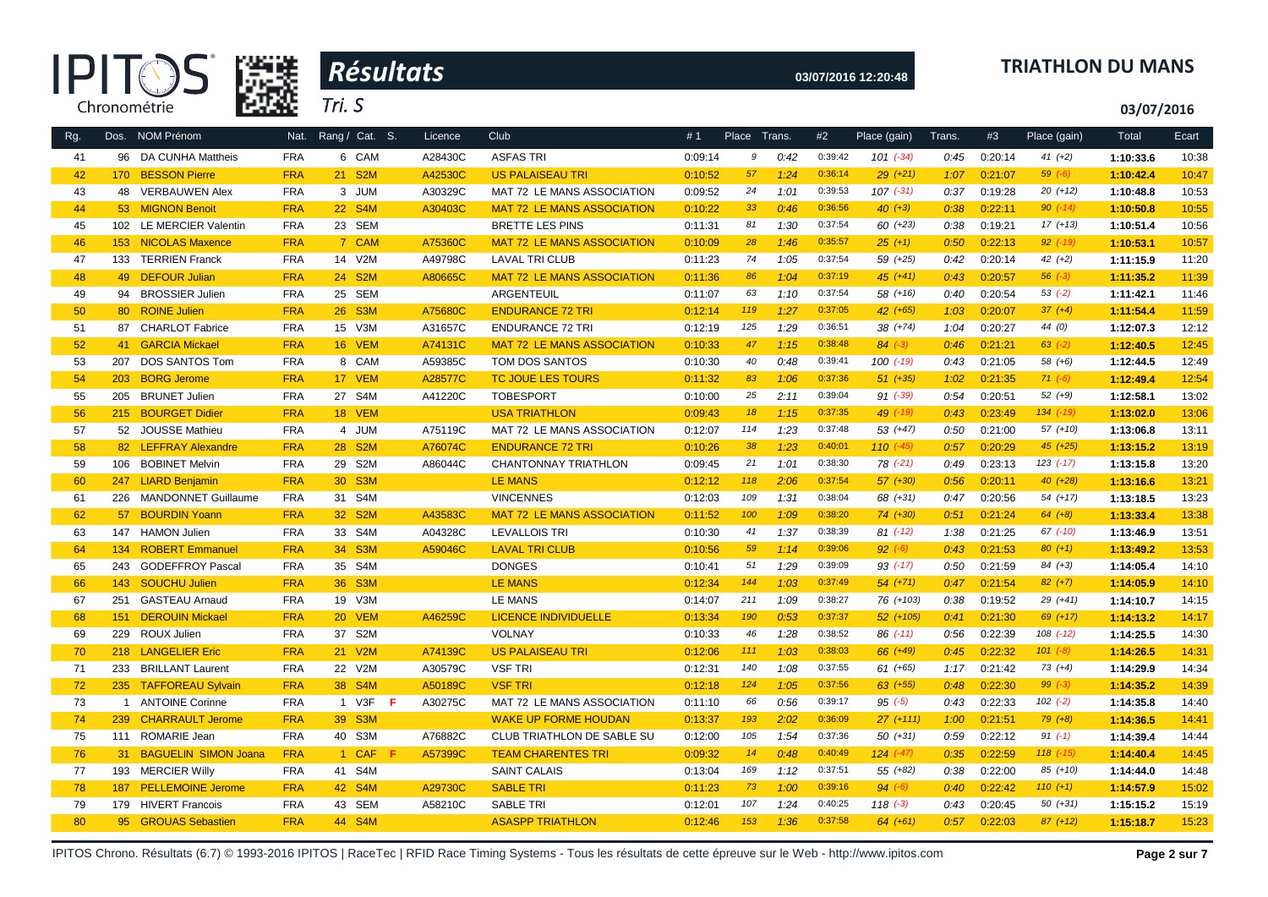



# **03/07/2016 12:20:48 TRIATHLON DU MANS**

**03/07/2016**

| Rg. |                 | Dos. NOM Prénom             | Nat.       | Rang / Cat. S. | Licence | Club                              | #1      | Place Trans. |      | #2      | Place (gain)  | Trans. | #3      | Place (gain)  | Total     | Ecart |
|-----|-----------------|-----------------------------|------------|----------------|---------|-----------------------------------|---------|--------------|------|---------|---------------|--------|---------|---------------|-----------|-------|
| 41  |                 | 96 DA CUNHA Mattheis        | <b>FRA</b> | 6 CAM          | A28430C | <b>ASFAS TRI</b>                  | 0:09:14 | 9            | 0:42 | 0:39:42 | $101 (-34)$   | 0:45   | 0:20:14 | $41 (+2)$     | 1:10:33.6 | 10:38 |
| 42  |                 | 170 BESSON Pierre           | <b>FRA</b> | 21 S2M         | A42530C | <b>US PALAISEAU TRI</b>           | 0:10:52 | 57           | 1:24 | 0:36:14 | $29 (+21)$    | 1:07   | 0:21:07 | $59(-6)$      | 1:10:42.4 | 10:47 |
| 43  |                 | 48 VERBAUWEN Alex           | <b>FRA</b> | 3 JUM          | A30329C | MAT 72 LE MANS ASSOCIATION        | 0:09:52 | 24           | 1:01 | 0:39:53 | $107$ $(-31)$ | 0:37   | 0:19:28 | $20(+12)$     | 1:10:48.8 | 10:53 |
| 44  |                 | 53 MIGNON Benoit            | <b>FRA</b> | 22 S4M         | A30403C | <b>MAT 72 LE MANS ASSOCIATION</b> | 0:10:22 | 33           | 0:46 | 0:36:56 | $40 (+3)$     | 0:38   | 0:22:11 | $90 (-14)$    | 1:10:50.8 | 10:55 |
| 45  |                 | 102 LE MERCIER Valentin     | <b>FRA</b> | 23 SEM         |         | <b>BRETTE LES PINS</b>            | 0:11:31 | 81           | 1:30 | 0:37:54 | $60 (+23)$    | 0:38   | 0:19:21 | $17(+13)$     | 1:10:51.4 | 10:56 |
| 46  |                 | 153 NICOLAS Maxence         | <b>FRA</b> | 7 CAM          | A75360C | <b>MAT 72 LE MANS ASSOCIATION</b> | 0:10:09 | 28           | 1:46 | 0:35:57 | $25 (+1)$     | 0:50   | 0:22:13 | $92$ (-19)    | 1:10:53.1 | 10:57 |
| 47  |                 | 133 TERRIEN Franck          | <b>FRA</b> | 14 V2M         | A49798C | <b>LAVAL TRI CLUB</b>             | 0:11:23 | 74           | 1:05 | 0:37:54 | 59 (+25)      | 0:42   | 0:20:14 | $42 (+2)$     | 1:11:15.9 | 11:20 |
| 48  |                 | 49 DEFOUR Julian            | <b>FRA</b> | 24 S2M         | A80665C | <b>MAT 72 LE MANS ASSOCIATION</b> | 0:11:36 | 86           | 1:04 | 0:37:19 | $45 (+41)$    | 0:43   | 0:20:57 | $56 (-3)$     | 1:11:35.2 | 11:39 |
| 49  |                 | 94 BROSSIER Julien          | <b>FRA</b> | 25 SEM         |         | ARGENTEUIL                        | 0:11:07 | 63           | 1:10 | 0:37:54 | $58(+16)$     | 0:40   | 0:20:54 | $53(-2)$      | 1:11:42.1 | 11:46 |
| 50  |                 | 80 ROINE Julien             | <b>FRA</b> | 26 S3M         | A75680C | <b>ENDURANCE 72 TRI</b>           | 0:12:14 | 119          | 1:27 | 0:37:05 | $42$ $(+65)$  | 1:03   | 0:20:07 | $37 (+4)$     | 1:11:54.4 | 11:59 |
| 51  |                 | 87 CHARLOT Fabrice          | <b>FRA</b> | 15 V3M         | A31657C | <b>ENDURANCE 72 TRI</b>           | 0:12:19 | 125          | 1:29 | 0:36:51 | 38 (+74)      | 1:04   | 0:20:27 | 44 (0)        | 1:12:07.3 | 12:12 |
| 52  | 41              | <b>GARCIA Mickael</b>       | <b>FRA</b> | 16 VEM         | A74131C | <b>MAT 72 LE MANS ASSOCIATION</b> | 0:10:33 | 47           | 1:15 | 0:38:48 | $84 (-3)$     | 0:46   | 0:21:21 | $63$ $(-2)$   | 1:12:40.5 | 12:45 |
| 53  | 207             | DOS SANTOS Tom              | <b>FRA</b> | 8 CAM          | A59385C | TOM DOS SANTOS                    | 0:10:30 | 40           | 0:48 | 0:39:41 | $100(-19)$    | 0:43   | 0:21:05 | 58 (+6)       | 1:12:44.5 | 12:49 |
| 54  | 203             | <b>BORG Jerome</b>          | <b>FRA</b> | 17 VEM         | A28577C | TC JOUE LES TOURS                 | 0:11:32 | 83           | 1:06 | 0:37:36 | $51 (+35)$    | 1:02   | 0:21:35 | $71(-6)$      | 1:12:49.4 | 12:54 |
| 55  |                 | 205 BRUNET Julien           | <b>FRA</b> | 27 S4M         | A41220C | <b>TOBESPORT</b>                  | 0:10:00 | 25           | 2:11 | 0:39:04 | $91 (-39)$    | 0:54   | 0:20:51 | $52 (+9)$     | 1:12:58.1 | 13:02 |
| 56  |                 | 215 BOURGET Didier          | <b>FRA</b> | 18 VEM         |         | <b>USA TRIATHLON</b>              | 0:09:43 | 18           | 1:15 | 0:37:35 | 49 $(-19)$    | 0:43   | 0:23:49 | $134$ $(-19)$ | 1:13:02.0 | 13:06 |
| 57  |                 | 52 JOUSSE Mathieu           | <b>FRA</b> | 4 JUM          | A75119C | MAT 72 LE MANS ASSOCIATION        | 0:12:07 | 114          | 1:23 | 0:37:48 | $53(+47)$     | 0:50   | 0:21:00 | $57(+10)$     | 1:13:06.8 | 13:11 |
| 58  |                 | 82 LEFFRAY Alexandre        | <b>FRA</b> | 28 S2M         | A76074C | <b>ENDURANCE 72 TRI</b>           | 0:10:26 | 38           | 1:23 | 0:40:01 | $110(-45)$    | 0:57   | 0:20:29 | $45$ $(+25)$  | 1:13:15.2 | 13:19 |
| 59  | 106             | <b>BOBINET Melvin</b>       | <b>FRA</b> | 29 S2M         | A86044C | CHANTONNAY TRIATHLON              | 0:09:45 | 21           | 1:01 | 0:38:30 | $78$ $(-21)$  | 0:49   | 0:23:13 | $123$ $(-17)$ | 1:13:15.8 | 13:20 |
| 60  |                 | 247 LIARD Benjamin          | <b>FRA</b> | 30 S3M         |         | <b>LE MANS</b>                    | 0:12:12 | 118          | 2:06 | 0:37:54 | $57(+30)$     | 0:56   | 0:20:11 | $40(+28)$     | 1:13:16.6 | 13:21 |
| 61  |                 | 226 MANDONNET Guillaume     | <b>FRA</b> | 31 S4M         |         | <b>VINCENNES</b>                  | 0:12:03 | 109          | 1:31 | 0:38:04 | 68 (+31)      | 0:47   | 0:20:56 | 54 (+17)      | 1:13:18.5 | 13:23 |
| 62  |                 | 57 BOURDIN Yoann            | <b>FRA</b> | 32 S2M         | A43583C | <b>MAT 72 LE MANS ASSOCIATION</b> | 0:11:52 | 100          | 1:09 | 0:38:20 | $74 (+30)$    | 0:51   | 0:21:24 | $64 (+8)$     | 1:13:33.4 | 13:38 |
| 63  |                 | 147 HAMON Julien            | <b>FRA</b> | 33 S4M         | A04328C | <b>LEVALLOIS TRI</b>              | 0:10:30 | 41           | 1:37 | 0:38:39 | $81$ (-12)    | 1:38   | 0:21:25 | $67$ $(-10)$  | 1:13:46.9 | 13:51 |
| 64  | 134             | <b>ROBERT Emmanuel</b>      | <b>FRA</b> | 34 S3M         | A59046C | <b>LAVAL TRI CLUB</b>             | 0:10:56 | 59           | 1:14 | 0:39:06 | $92 (-6)$     | 0:43   | 0:21:53 | $80 (+1)$     | 1:13:49.2 | 13:53 |
| 65  | 243             | <b>GODEFFROY Pascal</b>     | <b>FRA</b> | 35 S4M         |         | <b>DONGES</b>                     | 0:10:41 | 51           | 1:29 | 0:39:09 | $93$ (-17)    | 0:50   | 0:21:59 | $84 (+3)$     | 1:14:05.4 | 14:10 |
| 66  | 143             | <b>SOUCHU Julien</b>        | <b>FRA</b> | 36 S3M         |         | <b>LE MANS</b>                    | 0:12:34 | 144          | 1:03 | 0:37:49 | $54(+71)$     | 0:47   | 0:21:54 | $82 (+7)$     | 1:14:05.9 | 14:10 |
| 67  | 251             | <b>GASTEAU Arnaud</b>       | <b>FRA</b> | 19 V3M         |         | <b>LE MANS</b>                    | 0:14:07 | 211          | 1:09 | 0:38:27 | 76 (+103)     | 0:38   | 0:19:52 | $29(+41)$     | 1:14:10.7 | 14:15 |
| 68  | 151             | <b>DEROUIN Mickael</b>      | <b>FRA</b> | 20 VEM         | A46259C | <b>LICENCE INDIVIDUELLE</b>       | 0:13:34 | 190          | 0:53 | 0:37:37 | $52(+105)$    | 0:41   | 0:21:30 | $69 (+17)$    | 1:14:13.2 | 14:17 |
| 69  |                 | 229 ROUX Julien             | <b>FRA</b> | 37 S2M         |         | <b>VOLNAY</b>                     | 0:10:33 | 46           | 1:28 | 0:38:52 | $86$ $(-11)$  | 0:56   | 0:22:39 | $108$ $(-12)$ | 1:14:25.5 | 14:30 |
| 70  |                 | 218 LANGELIER Eric          | <b>FRA</b> | 21 V2M         | A74139C | <b>US PALAISEAU TRI</b>           | 0:12:06 | 111          | 1:03 | 0:38:03 | 66 (+49)      | 0:45   | 0:22:32 | $101 (-8)$    | 1:14:26.5 | 14:31 |
| 71  | 233             | <b>BRILLANT Laurent</b>     | <b>FRA</b> | 22 V2M         | A30579C | <b>VSF TRI</b>                    | 0:12:31 | 140          | 1:08 | 0:37:55 | $61 (+65)$    | 1:17   | 0:21:42 | $73(+4)$      | 1:14:29.9 | 14:34 |
| 72  |                 | 235 TAFFOREAU Sylvain       | <b>FRA</b> | 38 S4M         | A50189C | <b>VSF TRI</b>                    | 0:12:18 | 124          | 1:05 | 0:37:56 | $63 (+55)$    | 0:48   | 0:22:30 | $99 (-3)$     | 1:14:35.2 | 14:39 |
| 73  |                 | 1 ANTOINE Corinne           | <b>FRA</b> | 1 V3F<br>- F   | A30275C | MAT 72 LE MANS ASSOCIATION        | 0:11:10 | 66           | 0:56 | 0:39:17 | 95(.5)        | 0:43   | 0:22:33 | $102$ $(-2)$  | 1:14:35.8 | 14:40 |
| 74  |                 | 239 CHARRAULT Jerome        | <b>FRA</b> | 39 S3M         |         | <b>WAKE UP FORME HOUDAN</b>       | 0:13:37 | 193          | 2:02 | 0:36:09 | $27(+111)$    | 1:00   | 0:21:51 | $79(+8)$      | 1:14:36.5 | 14:41 |
| 75  |                 | 111 ROMARIE Jean            | <b>FRA</b> | 40 S3M         | A76882C | CLUB TRIATHLON DE SABLE SU        | 0:12:00 | 105          | 1:54 | 0:37:36 | $50(+31)$     | 0:59   | 0:22:12 | $91 (-1)$     | 1:14:39.4 | 14:44 |
| 76  | 31 <sup>2</sup> | <b>BAGUELIN SIMON Joana</b> | <b>FRA</b> | 1 CAF<br>F     | A57399C | <b>TEAM CHARENTES TRI</b>         | 0:09:32 | 14           | 0:48 | 0:40:49 | $124$ $(-47)$ | 0:35   | 0:22:59 | $118$ $(-15)$ | 1:14:40.4 | 14:45 |
| 77  |                 | 193 MERCIER Willy           | <b>FRA</b> | 41 S4M         |         | <b>SAINT CALAIS</b>               | 0:13:04 | 169          | 1:12 | 0:37:51 | $55(+82)$     | 0:38   | 0:22:00 | 85 (+10)      | 1:14:44.0 | 14:48 |
| 78  | 187             | <b>PELLEMOINE Jerome</b>    | <b>FRA</b> | 42 S4M         | A29730C | <b>SABLE TRI</b>                  | 0:11:23 | 73           | 1:00 | 0:39:16 | $94 (-6)$     | 0:40   | 0:22:42 | $110 (+1)$    | 1:14:57.9 | 15:02 |
| 79  | 179             | <b>HIVERT Francois</b>      | <b>FRA</b> | 43 SEM         | A58210C | <b>SABLE TRI</b>                  | 0:12:01 | 107          | 1:24 | 0:40:25 | $118(-3)$     | 0:43   | 0:20:45 | $50(+31)$     | 1:15:15.2 | 15:19 |
| 80  |                 | 95 GROUAS Sebastien         | <b>FRA</b> | 44 S4M         |         | <b>ASASPP TRIATHLON</b>           | 0:12:46 | 153          | 1:36 | 0:37:58 | $64 (+61)$    | 0:57   | 0:22:03 | $87(+12)$     | 1:15:18.7 | 15:23 |

IPITOS Chrono. Résultats (6.7) © 1993-2016 IPITOS | RaceTec | RFID Race Timing Systems - Tous les résultats de cette épreuve sur le Web - http://www.ipitos.com **Page 2 sur 7**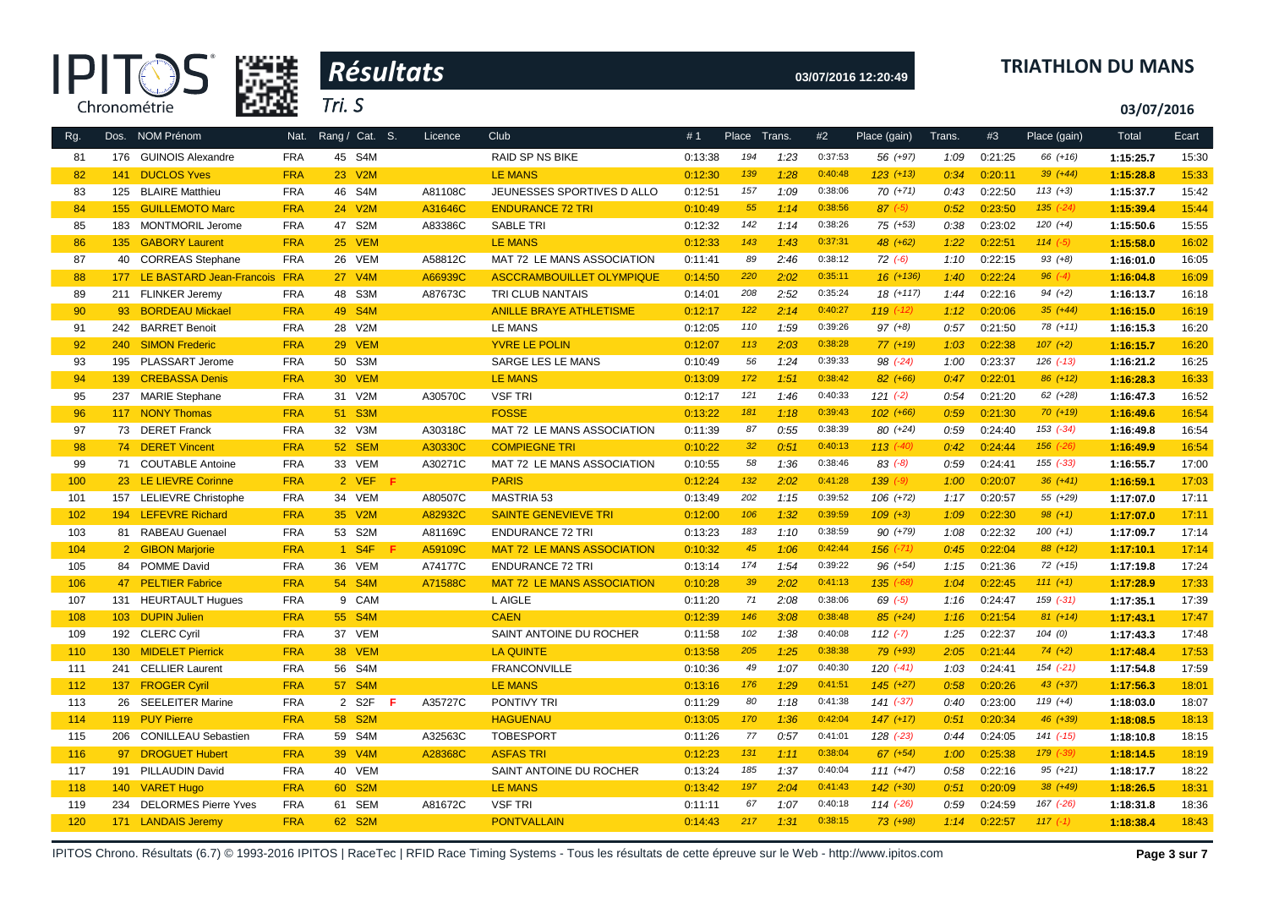



# **03/07/2016 12:20:49 TRIATHLON DU MANS**

**03/07/2016**

| Rg. |                  | Dos. NOM Prénom                  | Nat.       | Rang / Cat. S. | Licence | Club                              | #1      | Place | Trans. | #2      | Place (gain)  | Trans. | #3      | Place (gain)  | Total     | Ecart |
|-----|------------------|----------------------------------|------------|----------------|---------|-----------------------------------|---------|-------|--------|---------|---------------|--------|---------|---------------|-----------|-------|
| 81  | 176              | <b>GUINOIS Alexandre</b>         | <b>FRA</b> | 45 S4M         |         | <b>RAID SP NS BIKE</b>            | 0:13:38 | 194   | 1:23   | 0:37:53 | 56 (+97)      | 1:09   | 0:21:25 | 66 (+16)      | 1:15:25.7 | 15:30 |
| 82  | 141              | <b>DUCLOS Yves</b>               | <b>FRA</b> | 23 V2M         |         | <b>LE MANS</b>                    | 0:12:30 | 139   | 1:28   | 0:40:48 | $123 (+13)$   | 0:34   | 0:20:11 | $39 (+44)$    | 1:15:28.8 | 15:33 |
| 83  | 125              | <b>BLAIRE Matthieu</b>           | <b>FRA</b> | 46 S4M         | A81108C | JEUNESSES SPORTIVES D ALLO        | 0:12:51 | 157   | 1:09   | 0:38:06 | $70(+71)$     | 0:43   | 0:22:50 | $113 (+3)$    | 1:15:37.7 | 15:42 |
| 84  | 155              | <b>GUILLEMOTO Marc</b>           | <b>FRA</b> | 24 V2M         | A31646C | <b>ENDURANCE 72 TRI</b>           | 0:10:49 | 55    | 1:14   | 0:38:56 | $87$ $(-5)$   | 0:52   | 0:23:50 | $135$ $(-24)$ | 1:15:39.4 | 15:44 |
| 85  |                  | 183 MONTMORIL Jerome             | <b>FRA</b> | 47 S2M         | A83386C | <b>SABLE TRI</b>                  | 0:12:32 | 142   | 1:14   | 0:38:26 | 75 (+53)      | 0:38   | 0:23:02 | $120 (+4)$    | 1:15:50.6 | 15:55 |
| 86  |                  | 135 GABORY Laurent               | <b>FRA</b> | 25 VEM         |         | <b>LE MANS</b>                    | 0:12:33 | 143   | 1:43   | 0:37:31 | $48 (+62)$    | 1:22   | 0:22:51 | $114 (-5)$    | 1:15:58.0 | 16:02 |
| 87  |                  | 40 CORREAS Stephane              | <b>FRA</b> | 26 VEM         | A58812C | MAT 72 LE MANS ASSOCIATION        | 0:11:41 | 89    | 2:46   | 0:38:12 | $72 (-6)$     | 1:10   | 0:22:15 | $93 (+8)$     | 1:16:01.0 | 16:05 |
| 88  |                  | 177 LE BASTARD Jean-Francois FRA |            | 27 V4M         | A66939C | ASCCRAMBOUILLET OLYMPIQUE         | 0:14:50 | 220   | 2:02   | 0:35:11 | $16 (+136)$   | 1:40   | 0:22:24 | $96 (-4)$     | 1:16:04.8 | 16:09 |
| 89  |                  | 211 FLINKER Jeremy               | <b>FRA</b> | 48 S3M         | A87673C | TRI CLUB NANTAIS                  | 0:14:01 | 208   | 2:52   | 0:35:24 | 18 (+117)     | 1:44   | 0:22:16 | $94 (+2)$     | 1:16:13.7 | 16:18 |
| 90  |                  | 93 BORDEAU Mickael               | <b>FRA</b> | 49 S4M         |         | <b>ANILLE BRAYE ATHLETISME</b>    | 0:12:17 | 122   | 2:14   | 0:40:27 | $119$ $(-12)$ | 1:12   | 0:20:06 | $35 (+44)$    | 1:16:15.0 | 16:19 |
| 91  | 242              | <b>BARRET Benoit</b>             | <b>FRA</b> | 28 V2M         |         | <b>LE MANS</b>                    | 0:12:05 | 110   | 1:59   | 0:39:26 | $97 (+8)$     | 0:57   | 0:21:50 | $78(+11)$     | 1:16:15.3 | 16:20 |
| 92  | 240              | <b>SIMON Frederic</b>            | <b>FRA</b> | 29 VEM         |         | <b>YVRE LE POLIN</b>              | 0:12:07 | 113   | 2:03   | 0:38:28 | $77(+19)$     | 1:03   | 0:22:38 | $107 (+2)$    | 1:16:15.7 | 16:20 |
| 93  |                  | 195 PLASSART Jerome              | <b>FRA</b> | 50 S3M         |         | SARGE LES LE MANS                 | 0:10:49 | 56    | 1:24   | 0:39:33 | 98 (-24)      | 1:00   | 0:23:37 | $126$ $(-13)$ | 1:16:21.2 | 16:25 |
| 94  | 139 <sup>°</sup> | <b>CREBASSA Denis</b>            | <b>FRA</b> | 30 VEM         |         | <b>LE MANS</b>                    | 0:13:09 | 172   | 1:51   | 0:38:42 | $82(+66)$     | 0:47   | 0:22:01 | $86 (+12)$    | 1:16:28.3 | 16:33 |
| 95  | 237              | <b>MARIE Stephane</b>            | <b>FRA</b> | 31 V2M         | A30570C | <b>VSF TRI</b>                    | 0:12:17 | 121   | 1:46   | 0:40:33 | $121 (-2)$    | 0:54   | 0:21:20 | 62 (+28)      | 1:16:47.3 | 16:52 |
| 96  |                  | 117 NONY Thomas                  | <b>FRA</b> | 51 S3M         |         | <b>FOSSE</b>                      | 0:13:22 | 181   | 1:18   | 0:39:43 | $102 (+66)$   | 0:59   | 0:21:30 | $70(+19)$     | 1:16:49.6 | 16:54 |
| 97  |                  | 73 DERET Franck                  | <b>FRA</b> | 32 V3M         | A30318C | MAT 72 LE MANS ASSOCIATION        | 0:11:39 | 87    | 0:55   | 0:38:39 | 80 (+24)      | 0:59   | 0:24:40 | $153$ $(-34)$ | 1:16:49.8 | 16:54 |
| 98  |                  | 74 DERET Vincent                 | <b>FRA</b> | 52 SEM         | A30330C | <b>COMPIEGNE TRI</b>              | 0:10:22 | 32    | 0:51   | 0:40:13 | $113$ $(-40)$ | 0:42   | 0:24:44 | 156 (-26)     | 1:16:49.9 | 16:54 |
| 99  |                  | 71 COUTABLE Antoine              | <b>FRA</b> | 33 VEM         | A30271C | MAT 72 LE MANS ASSOCIATION        | 0:10:55 | 58    | 1:36   | 0:38:46 | $83 (-8)$     | 0:59   | 0:24:41 | $155 (-33)$   | 1:16:55.7 | 17:00 |
| 100 |                  | 23 LE LIEVRE Corinne             | <b>FRA</b> | 2 VEF F        |         | <b>PARIS</b>                      | 0:12:24 | 132   | 2:02   | 0:41:28 | $139( -9)$    | 1:00   | 0:20:07 | $36 (+41)$    | 1:16:59.1 | 17:03 |
| 101 | 157              | LELIEVRE Christophe              | <b>FRA</b> | 34 VEM         | A80507C | <b>MASTRIA 53</b>                 | 0:13:49 | 202   | 1:15   | 0:39:52 | $106 (+72)$   | 1:17   | 0:20:57 | 55 (+29)      | 1:17:07.0 | 17:11 |
| 102 |                  | 194 LEFEVRE Richard              | <b>FRA</b> | 35 V2M         | A82932C | <b>SAINTE GENEVIEVE TRI</b>       | 0:12:00 | 106   | 1:32   | 0:39:59 | $109 (+3)$    | 1:09   | 0:22:30 | $98 (+1)$     | 1:17:07.0 | 17:11 |
| 103 |                  | 81 RABEAU Guenael                | <b>FRA</b> | 53 S2M         | A81169C | <b>ENDURANCE 72 TRI</b>           | 0:13:23 | 183   | 1:10   | 0:38:59 | $90 (+79)$    | 1:08   | 0:22:32 | $100 (+1)$    | 1:17:09.7 | 17:14 |
| 104 |                  | 2 GIBON Marjorie                 | <b>FRA</b> | 1 S4F          | A59109C | <b>MAT 72 LE MANS ASSOCIATION</b> | 0:10:32 | 45    | 1:06   | 0:42:44 | $156$ $(-71)$ | 0:45   | 0:22:04 | $88 (+12)$    | 1:17:10.1 | 17:14 |
| 105 |                  | 84 POMME David                   | <b>FRA</b> | 36 VEM         | A74177C | <b>ENDURANCE 72 TRI</b>           | 0:13:14 | 174   | 1:54   | 0:39:22 | 96 (+54)      | 1:15   | 0:21:36 | $72 (+15)$    | 1:17:19.8 | 17:24 |
| 106 |                  | 47 PELTIER Fabrice               | <b>FRA</b> | 54 S4M         | A71588C | <b>MAT 72 LE MANS ASSOCIATION</b> | 0:10:28 | 39    | 2:02   | 0:41:13 | $135$ $(-68)$ | 1:04   | 0:22:45 | $111 (+1)$    | 1:17:28.9 | 17:33 |
| 107 | 131              | <b>HEURTAULT Hugues</b>          | <b>FRA</b> | 9 CAM          |         | L AIGLE                           | 0:11:20 | 71    | 2:08   | 0:38:06 | $69$ $(-5)$   | 1:16   | 0:24:47 | 159 (-31)     | 1:17:35.1 | 17:39 |
| 108 | $103 -$          | <b>DUPIN Julien</b>              | <b>FRA</b> | 55 S4M         |         | <b>CAEN</b>                       | 0:12:39 | 146   | 3:08   | 0:38:48 | $85 (+24)$    | 1:16   | 0:21:54 | $81 (+14)$    | 1:17:43.1 | 17:47 |
| 109 |                  | 192 CLERC Cyril                  | <b>FRA</b> | 37 VEM         |         | SAINT ANTOINE DU ROCHER           | 0:11:58 | 102   | 1:38   | 0:40:08 | $112 (-7)$    | 1:25   | 0:22:37 | 104(0)        | 1:17:43.3 | 17:48 |
| 110 | 130 <sub>1</sub> | <b>MIDELET Pierrick</b>          | <b>FRA</b> | 38 VEM         |         | <b>LA QUINTE</b>                  | 0:13:58 | 205   | 1:25   | 0:38:38 | $79(+93)$     | 2:05   | 0:21:44 | $74(+2)$      | 1:17:48.4 | 17:53 |
| 111 | 241              | <b>CELLIER Laurent</b>           | <b>FRA</b> | 56 S4M         |         | <b>FRANCONVILLE</b>               | 0:10:36 | 49    | 1:07   | 0:40:30 | 120 (-41)     | 1:03   | 0:24:41 | $154$ $(-21)$ | 1:17:54.8 | 17:59 |
| 112 |                  | 137 FROGER Cyril                 | <b>FRA</b> | 57 S4M         |         | <b>LE MANS</b>                    | 0:13:16 | 176   | 1:29   | 0:41:51 | $145 (+27)$   | 0:58   | 0:20:26 | $43 (+37)$    | 1:17:56.3 | 18:01 |
| 113 |                  | 26 SEELEITER Marine              | <b>FRA</b> | 2 S2F<br>-F    | A35727C | <b>PONTIVY TRI</b>                | 0:11:29 | 80    | 1:18   | 0:41:38 | $141 (-37)$   | 0:40   | 0:23:00 | $119 (+4)$    | 1:18:03.0 | 18:07 |
| 114 |                  | 119 PUY Pierre                   | <b>FRA</b> | 58 S2M         |         | <b>HAGUENAU</b>                   | 0:13:05 | 170   | 1:36   | 0:42:04 | $147 (+17)$   | 0:51   | 0:20:34 | $46 (+39)$    | 1:18:08.5 | 18:13 |
| 115 |                  | 206 CONILLEAU Sebastien          | <b>FRA</b> | 59 S4M         | A32563C | <b>TOBESPORT</b>                  | 0:11:26 | 77    | 0:57   | 0:41:01 | 128 (-23)     | 0:44   | 0:24:05 | $141 (-15)$   | 1:18:10.8 | 18:15 |
| 116 | 97               | <b>DROGUET Hubert</b>            | <b>FRA</b> | 39 V4M         | A28368C | <b>ASFAS TRI</b>                  | 0:12:23 | 131   | 1:11   | 0:38:04 | $67$ $(+54)$  | 1:00   | 0:25:38 | 179 (-39)     | 1:18:14.5 | 18:19 |
| 117 |                  | 191 PILLAUDIN David              | <b>FRA</b> | 40 VEM         |         | SAINT ANTOINE DU ROCHER           | 0:13:24 | 185   | 1:37   | 0:40:04 | $111 (+47)$   | 0:58   | 0:22:16 | $95 (+21)$    | 1:18:17.7 | 18:22 |
| 118 |                  | 140 VARET Hugo                   | <b>FRA</b> | 60 S2M         |         | <b>LE MANS</b>                    | 0:13:42 | 197   | 2:04   | 0:41:43 | $142$ $(+30)$ | 0:51   | 0:20:09 | $38 (+49)$    | 1:18:26.5 | 18:31 |
| 119 | 234              | <b>DELORMES Pierre Yves</b>      | <b>FRA</b> | 61 SEM         | A81672C | <b>VSF TRI</b>                    | 0:11:11 | 67    | 1:07   | 0:40:18 | $114$ $(-26)$ | 0:59   | 0:24:59 | 167 (-26)     | 1:18:31.8 | 18:36 |
| 120 |                  | 171 LANDAIS Jeremy               | <b>FRA</b> | 62 S2M         |         | <b>PONTVALLAIN</b>                | 0:14:43 | 217   | 1:31   | 0:38:15 | $73(+98)$     | 1:14   | 0:22:57 | $117(-1)$     | 1:18:38.4 | 18:43 |
|     |                  |                                  |            |                |         |                                   |         |       |        |         |               |        |         |               |           |       |

IPITOS Chrono. Résultats (6.7) © 1993-2016 IPITOS | RaceTec | RFID Race Timing Systems - Tous les résultats de cette épreuve sur le Web - http://www.ipitos.com Page 3 sur 7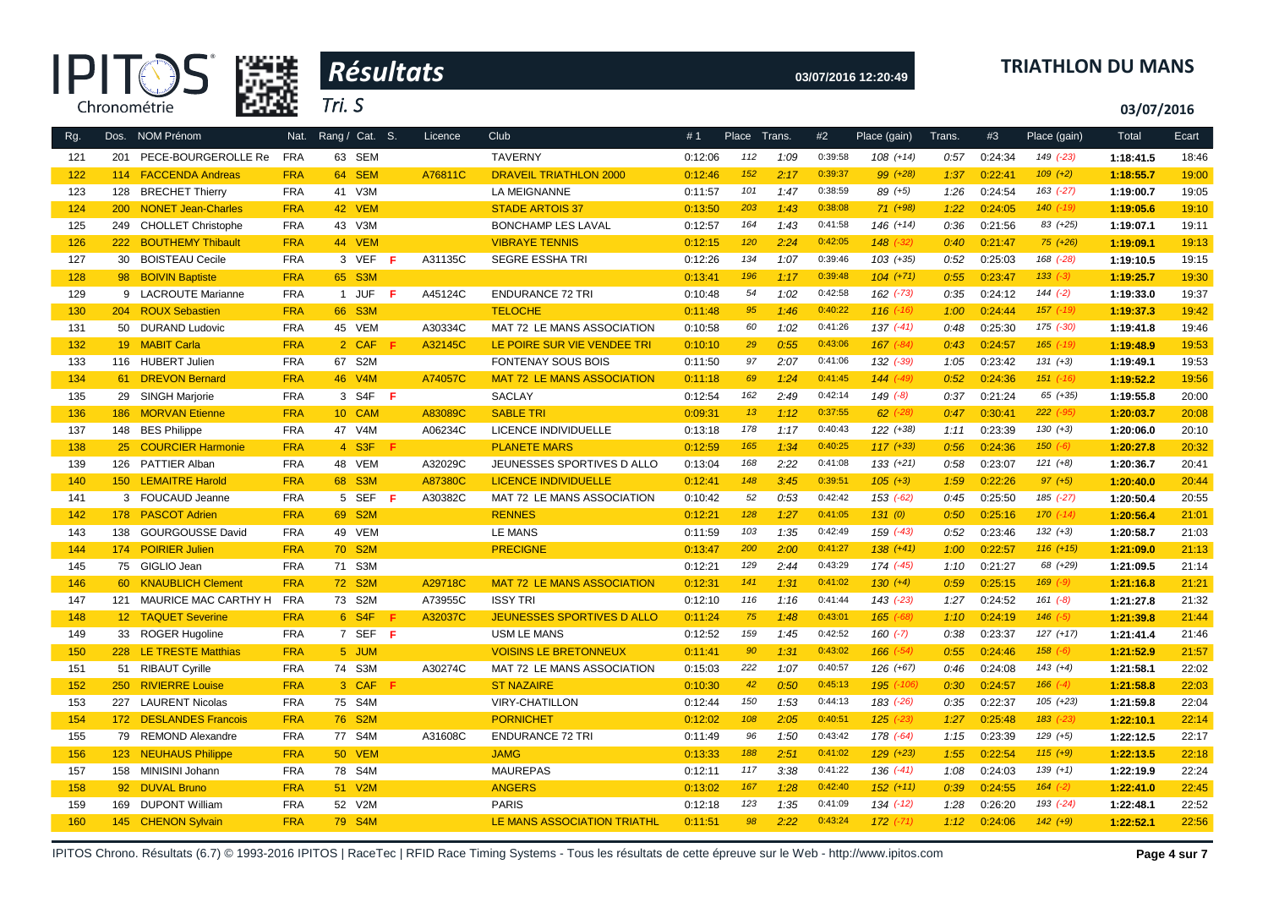|            |     | Leur ve<br>Chronométrie                     |                          | Tri. S |                 |    |         |                                                            |                    |              |              |                    |                            |              |                    |                          | 03/07/2016             |                |
|------------|-----|---------------------------------------------|--------------------------|--------|-----------------|----|---------|------------------------------------------------------------|--------------------|--------------|--------------|--------------------|----------------------------|--------------|--------------------|--------------------------|------------------------|----------------|
| Rg.        |     | Dos. NOM Prénom                             | Nat.                     |        | Rang / Cat. S.  |    | Licence | Club                                                       | #1                 | Place Trans. |              | #2                 | Place (gain)               | Trans.       | #3                 | Place (gain)             | Total                  | Ecart          |
| 121        |     | 201 PECE-BOURGEROLLE Re                     | <b>FRA</b>               |        | 63 SEM          |    |         | <b>TAVERNY</b>                                             | 0:12:06            | 112          | 1:09         | 0:39:58            | $108 (+14)$                | 0:57         | 0:24:34            | 149 (-23)                | 1:18:41.5              | 18:46          |
| 122        |     | 114 FACCENDA Andreas                        | <b>FRA</b>               |        | 64 SEM          |    | A76811C | <b>DRAVEIL TRIATHLON 2000</b>                              | 0:12:46            | 152          | 2:17         | 0:39:37            | 99 (+28)                   | 1:37         | 0:22:41            | $109 (+2)$               | 1:18:55.7              | 19:00          |
| 123        | 128 | <b>BRECHET Thierry</b>                      | <b>FRA</b>               |        | 41 V3M          |    |         | LA MEIGNANNE                                               | 0:11:57            | 101          | 1:47         | 0:38:59            | 89 (+5)                    | 1:26         | 0:24:54            | 163 (-27)                | 1:19:00.7              | 19:05          |
| 124        | 200 | <b>NONET Jean-Charles</b>                   | <b>FRA</b>               |        | 42 VEM          |    |         | <b>STADE ARTOIS 37</b>                                     | 0:13:50            | 203          | 1:43         | 0:38:08            | $71 (+98)$                 | 1:22         | 0:24:05            | $140$ $(-19)$            | 1:19:05.6              | 19:10          |
| 125        |     | 249 CHOLLET Christophe                      | <b>FRA</b>               |        | 43 V3M          |    |         | <b>BONCHAMP LES LAVAL</b>                                  | 0:12:57            | 164          | 1:43         | 0:41:58            | 146 (+14)                  | 0:36         | 0:21:56            | 83 (+25)                 | 1:19:07.1              | 19:11          |
| 126        | 222 | <b>BOUTHEMY Thibault</b>                    | <b>FRA</b>               |        | 44 VEM          |    |         | <b>VIBRAYE TENNIS</b>                                      | 0:12:15            | 120          | 2:24         | 0:42:05            | $148$ $(-32)$              | 0:40         | 0:21:47            | $75 (+26)$               | 1:19:09.1              | 19:13          |
| 127        | 30  | <b>BOISTEAU Cecile</b>                      | <b>FRA</b>               |        | 3 VEF           | -F | A31135C | <b>SEGRE ESSHA TRI</b>                                     | 0:12:26            | 134          | 1:07         | 0:39:46            | $103 (+35)$                | 0:52         | 0:25:03            | 168 (-28)                | 1:19:10.5              | 19:15          |
| 128        |     | 98 BOIVIN Baptiste                          | <b>FRA</b>               |        | 65 S3M          |    |         |                                                            | 0:13:41            | 196          | 1:17         | 0:39:48            | $104 (+71)$                | 0:55         | 0:23:47            | $133 (-3)$               | 1:19:25.7              | 19:30          |
| 129        |     | 9 LACROUTE Marianne                         | <b>FRA</b>               |        | 1 JUF F         |    | A45124C | <b>ENDURANCE 72 TRI</b>                                    | 0:10:48            | 54           | 1:02         | 0:42:58            | 162 (-73)                  | 0:35         | 0:24:12            | $144 (-2)$               | 1:19:33.0              | 19:37          |
| 130        |     | 204 ROUX Sebastien                          | <b>FRA</b>               |        | 66 S3M          |    |         | <b>TELOCHE</b>                                             | 0:11:48            | 95           | 1:46         | 0:40:22            | $116$ $(-16)$              | 1:00         | 0:24:44            | $157$ $(-19)$            | 1:19:37.3              | 19:42          |
| 131        | 50  | <b>DURAND Ludovic</b>                       | <b>FRA</b>               |        | 45 VEM          |    | A30334C | MAT 72 LE MANS ASSOCIATION                                 | 0:10:58            | 60           | 1:02         | 0:41:26            | $137$ $(-41)$              | 0:48         | 0:25:30            | 175 (-30)                | 1:19:41.8              | 19:46          |
| 132        |     | 19 MABIT Carla                              | <b>FRA</b>               |        | 2 CAF F         |    | A32145C | LE POIRE SUR VIE VENDEE TRI                                | 0:10:10            | 29           | 0:55         | 0:43:06            | $167 (-84)$                | 0:43         | 0:24:57            | $165$ $(-19)$            | 1:19:48.9              | 19:53          |
| 133        |     | 116 HUBERT Julien                           | FRA                      |        | 67 S2M          |    |         | <b>FONTENAY SOUS BOIS</b>                                  | 0:11:50            | 97           | 2:07         | 0:41:06            | 132 (-39)                  | 1:05         | 0:23:42            | $131 (+3)$               | 1:19:49.1              | 19:53          |
| 134        |     | 61 DREVON Bernard                           | <b>FRA</b>               |        | 46 V4M          |    | A74057C | <b>MAT 72 LE MANS ASSOCIATION</b>                          | 0:11:18            | 69           | 1:24         | 0:41:45            | $144 (-49)$                | 0:52         | 0:24:36            | $151$ $(-16)$            | 1:19:52.2              | 19:56          |
| 135        |     | 29 SINGH Marjorie                           | <b>FRA</b>               |        | 3 S4F F         |    |         | <b>SACLAY</b>                                              | 0:12:54            | 162          | 2:49         | 0:42:14            | $149(-8)$                  | 0:37         | 0:21:24            | 65 (+35)                 | 1:19:55.8              | 20:00          |
| 136        |     | 186 MORVAN Etienne                          | <b>FRA</b>               |        | 10 CAM          |    | A83089C | <b>SABLE TRI</b>                                           | 0:09:31            | 13           | 1:12         | 0:37:55            | $62$ $(-28)$               | 0:47         | 0:30:41            | $222 (-95)$              | 1:20:03.7              | 20:08          |
| 137        |     | 148 BES Philippe                            | <b>FRA</b>               |        | 47 V4M          |    | A06234C | LICENCE INDIVIDUELLE                                       | 0:13:18            | 178          | 1:17         | 0:40:43            | $122 (+38)$                | 1:11         | 0:23:39            | $130 (+3)$               | 1:20:06.0              | 20:10          |
| 138        |     | 25 COURCIER Harmonie                        | <b>FRA</b>               |        | 4 S3F F         |    |         | <b>PLANETE MARS</b>                                        | 0:12:59            | 165          | 1:34         | 0:40:25            | $117 (+33)$                | 0:56         | 0:24:36            | $150 (-6)$               | 1:20:27.8              | 20:32          |
| 139        |     | 126 PATTIER Alban                           | <b>FRA</b>               |        | 48 VEM          |    | A32029C | JEUNESSES SPORTIVES D ALLO                                 | 0:13:04            | 168          | 2:22         | 0:41:08            | $133 (+21)$                | 0:58         | 0:23:07            | $121 (+8)$               | 1:20:36.7              | 20:41          |
| 140        |     | 150 LEMAITRE Harold                         | <b>FRA</b>               |        | 68 S3M          |    | A87380C | <b>LICENCE INDIVIDUELLE</b>                                | 0:12:41            | 148          | 3:45         | 0:39:51            | $105 (+3)$                 | 1:59         | 0:22:26            | $97 (+5)$                | 1:20:40.0              | 20:44          |
| 141        |     | 3 FOUCAUD Jeanne                            | <b>FRA</b>               |        | 5 SEF F         |    | A30382C | MAT 72 LE MANS ASSOCIATION                                 | 0:10:42            | 52           | 0:53         | 0:42:42            | 153 (-62)                  | 0:45         | 0:25:50            | 185 (-27)                | 1:20:50.4              | 20:55          |
| 142        |     | 178 PASCOT Adrien                           | <b>FRA</b>               |        | 69 S2M          |    |         | <b>RENNES</b>                                              | 0:12:21            | 128          | 1:27         | 0:41:05            | 131(0)                     | 0:50         | 0:25:16            | $170$ $(-14)$            | 1:20:56.4              | 21:01          |
| 143        |     | 138 GOURGOUSSE David                        | <b>FRA</b>               |        | 49 VEM          |    |         | LE MANS                                                    | 0:11:59            | 103          | 1:35         | 0:42:49            | 159 (-43)                  | 0:52         | 0:23:46            | $132 (+3)$               | 1:20:58.7              | 21:03          |
| 144        |     | 174 POIRIER Julien                          | <b>FRA</b>               |        | 70 S2M          |    |         | <b>PRECIGNE</b>                                            | 0:13:47            | 200          | 2:00         | 0:41:27            | $138 (+41)$                | 1:00         | 0:22:57            | $116 (+15)$              | 1:21:09.0              | 21:13          |
| 145        |     | 75 GIGLIO Jean                              | <b>FRA</b>               |        | 71 S3M          |    |         |                                                            | 0:12:21            | 129          | 2:44         | 0:43:29            | 174 (-45)                  | 1:10         | 0:21:27            | 68 (+29)                 | 1:21:09.5              | 21:14          |
| 146        |     | 60 KNAUBLICH Clement                        | <b>FRA</b>               |        | 72 S2M          |    | A29718C | <b>MAT 72 LE MANS ASSOCIATION</b>                          | 0:12:31            | 141          | 1:31         | 0:41:02            | $130 (+4)$                 | 0:59         | 0:25:15            | $169$ $(-9)$             | 1:21:16.8              | 21:21          |
| 147        |     | 121 MAURICE MAC CARTHY H FRA                |                          |        | 73 S2M          |    | A73955C | <b>ISSY TRI</b>                                            | 0:12:10            | 116          | 1:16         | 0:41:44            | $143$ $(-23)$              | 1:27         | 0:24:52            | $161 (-8)$               | 1:21:27.8              | 21:32          |
| 148        |     | 12 TAQUET Severine                          | <b>FRA</b>               |        | 6 S4F           | -F | A32037C | JEUNESSES SPORTIVES D ALLO                                 | 0:11:24            | 75<br>159    | 1:48         | 0:43:01<br>0:42:52 | $165$ $(-68)$              | 1:10         | 0:24:19            | $146$ $(-5)$             | 1:21:39.8              | 21:44          |
| 149        |     | 33 ROGER Hugoline                           | <b>FRA</b>               |        | 7 SEF F         |    |         | <b>USM LE MANS</b>                                         | 0:12:52            | 90           | 1:45<br>1:31 | 0:43:02            | $160 (-7)$                 | 0:38         | 0:23:37<br>0:24:46 | $127 (+17)$<br>$158(-6)$ | 1:21:41.4              | 21:46          |
| 150        |     | 228 LE TRESTE Matthias<br>51 RIBAUT Cyrille | <b>FRA</b><br><b>FRA</b> |        | 5 JUM<br>74 S3M |    | A30274C | <b>VOISINS LE BRETONNEUX</b><br>MAT 72 LE MANS ASSOCIATION | 0:11:41            | 222          | 1:07         | 0:40:57            | $166$ $(-54)$<br>126 (+67) | 0:55<br>0:46 | 0:24:08            | $143 (+4)$               | 1:21:52.9<br>1:21:58.1 | 21:57<br>22:02 |
| 151<br>152 |     | 250 RIVIERRE Louise                         | <b>FRA</b>               |        | 3 CAF F         |    |         | <b>ST NAZAIRE</b>                                          | 0:15:03<br>0:10:30 | 42           | 0:50         | 0:45:13            | 195 (-106)                 | 0:30         | 0:24:57            | $166 (-4)$               | 1:21:58.8              | 22:03          |
| 153        | 227 | <b>LAURENT Nicolas</b>                      | <b>FRA</b>               |        | 75 S4M          |    |         | <b>VIRY-CHATILLON</b>                                      | 0:12:44            | 150          | 1:53         | 0:44:13            | 183 (-26)                  | 0:35         | 0:22:37            | $105 (+23)$              | 1:21:59.8              | 22:04          |
| 154        |     | 172 DESLANDES Francois                      | <b>FRA</b>               |        | 76 S2M          |    |         | <b>PORNICHET</b>                                           | 0:12:02            | 108          | 2:05         | 0:40:51            | $125$ (-23)                | 1:27         | 0:25:48            | $183$ $(-23)$            | 1:22:10.1              | 22:14          |
| 155        |     | 79 REMOND Alexandre                         | <b>FRA</b>               |        | 77 S4M          |    | A31608C | <b>ENDURANCE 72 TRI</b>                                    | 0:11:49            | 96           | 1:50         | 0:43:42            | 178 (-64)                  | 1:15         | 0:23:39            | $129 (+5)$               | 1:22:12.5              | 22:17          |
| 156        |     | 123 NEUHAUS Philippe                        | <b>FRA</b>               |        | 50 VEM          |    |         | <b>JAMG</b>                                                | 0:13:33            | 188          | 2:51         | 0:41:02            | $129$ $(+23)$              | 1:55         | 0:22:54            | $115 (+9)$               | 1:22:13.5              | 22:18          |
| 157        |     | 158 MINISINI Johann                         | <b>FRA</b>               |        | 78 S4M          |    |         | <b>MAUREPAS</b>                                            | 0:12:11            | 117          | 3:38         | 0:41:22            | $136$ $(-41)$              | 1:08         | 0:24:03            | $139 (+1)$               | 1:22:19.9              | 22:24          |
| 158        |     | 92 DUVAL Bruno                              | <b>FRA</b>               |        | 51 V2M          |    |         | <b>ANGERS</b>                                              | 0:13:02            | 167          | 1:28         | 0:42:40            | $152 (+11)$                | 0:39         | 0:24:55            | $164$ $(-2)$             | 1:22:41.0              | 22:45          |
| 159        |     | 169 DUPONT William                          | <b>FRA</b>               |        | 52 V2M          |    |         | <b>PARIS</b>                                               | 0:12:18            | 123          | 1:35         | 0:41:09            | $134$ $(-12)$              | 1:28         | 0:26:20            | 193 (-24)                | 1:22:48.1              | 22:52          |
| 160        |     | 145 CHENON Sylvain                          | <b>FRA</b>               |        | 79 S4M          |    |         | LE MANS ASSOCIATION TRIATHL                                | 0:11:51            | 98           | 2:22         | 0:43:24            | $172$ $(-71)$              | 1:12         | 0:24:06            | $142 (+9)$               | 1:22:52.1              | 22:56          |
|            |     |                                             |                          |        |                 |    |         |                                                            |                    |              |              |                    |                            |              |                    |                          |                        |                |



 *Résultats* **®**

# **03/07/2016 12:20:49 TRIATHLON DU MANS**

IPITOS Chrono. Résultats (6.7) © 1993-2016 IPITOS | RaceTec | RFID Race Timing Systems - Tous les résultats de cette épreuve sur le Web - http://www.ipitos.com **Page 4 sur 7**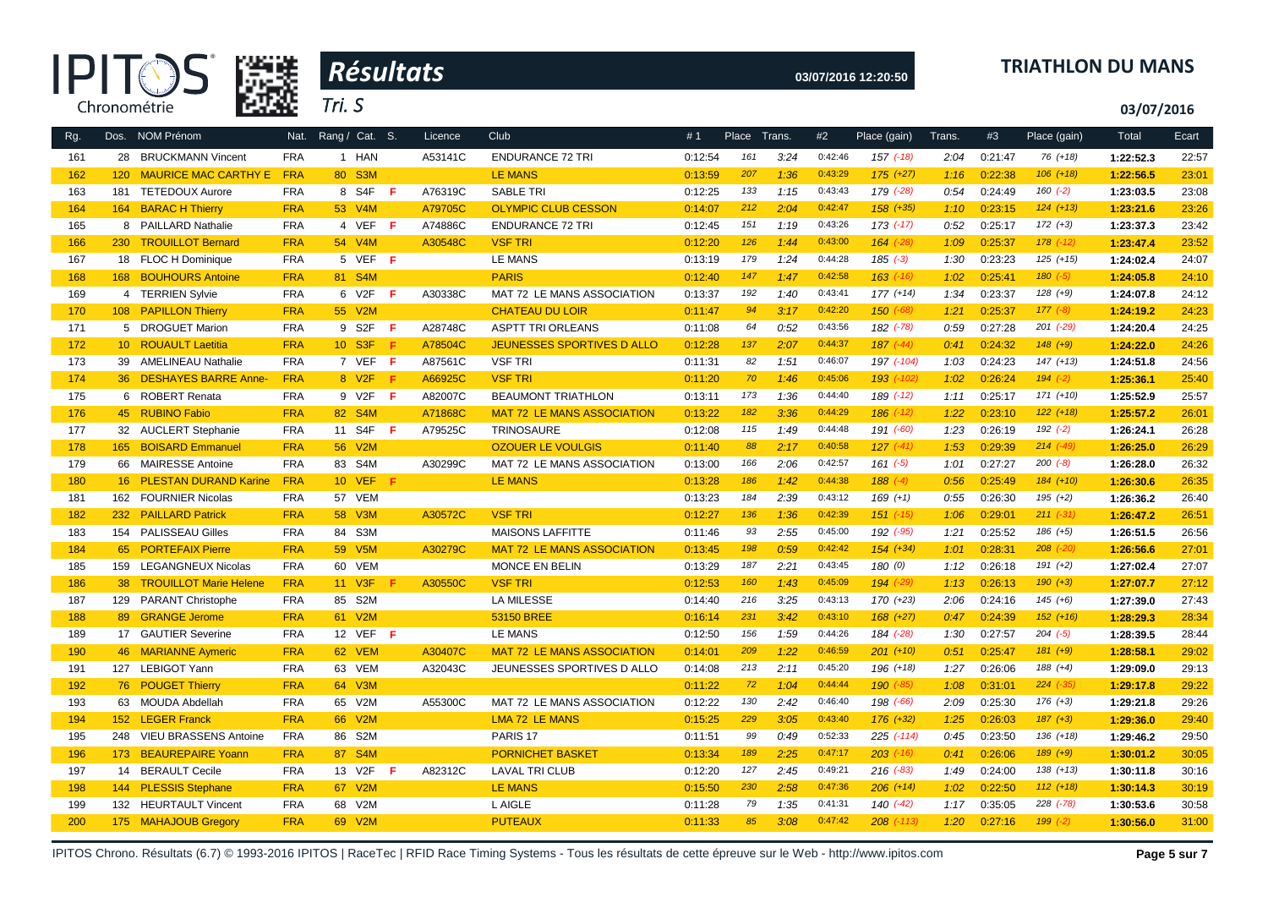



# **03/07/2016 12:20:50 TRIATHLON DU MANS**

**03/07/2016**

| Rg. |     | Dos. NOM Prénom           | Nat.       | Rang / Cat. S.     |     | Licence | <b>Club</b>                       | #1      | Place | Trans. | #2      | Place (gain)   | Trans. | #3      | Place (gain)  | Total     | Ecart |
|-----|-----|---------------------------|------------|--------------------|-----|---------|-----------------------------------|---------|-------|--------|---------|----------------|--------|---------|---------------|-----------|-------|
| 161 |     | 28 BRUCKMANN Vincent      | <b>FRA</b> | 1 HAN              |     | A53141C | <b>ENDURANCE 72 TRI</b>           | 0:12:54 | 161   | 3:24   | 0:42:46 | $157$ $(-18)$  | 2:04   | 0:21:47 | 76 (+18)      | 1:22:52.3 | 22:57 |
| 162 |     | 120 MAURICE MAC CARTHY E  | <b>FRA</b> | 80 S3M             |     |         | <b>LE MANS</b>                    | 0:13:59 | 207   | 1:36   | 0:43:29 | $175 (+27)$    | 1:16   | 0:22:38 | $106 (+18)$   | 1:22:56.5 | 23:01 |
| 163 |     | 181 TETEDOUX Aurore       | <b>FRA</b> | 8 S4F              | - F | A76319C | <b>SABLE TRI</b>                  | 0:12:25 | 133   | 1:15   | 0:43:43 | 179 (-28)      | 0:54   | 0:24:49 | $160(-2)$     | 1:23:03.5 | 23:08 |
| 164 |     | 164 BARAC H Thierry       | <b>FRA</b> | 53 V4M             |     | A79705C | <b>OLYMPIC CLUB CESSON</b>        | 0:14:07 | 212   | 2:04   | 0:42:47 | $158 (+35)$    | 1:10   | 0:23:15 | $124 (+13)$   | 1:23:21.6 | 23:26 |
| 165 |     | 8 PAILLARD Nathalie       | <b>FRA</b> | 4 VEF F            |     | A74886C | <b>ENDURANCE 72 TRI</b>           | 0:12:45 | 151   | 1:19   | 0:43:26 | $173$ $(-17)$  | 0:52   | 0:25:17 | $172 (+3)$    | 1:23:37.3 | 23:42 |
| 166 |     | 230 TROUILLOT Bernard     | <b>FRA</b> | 54 V4M             |     | A30548C | <b>VSF TRI</b>                    | 0:12:20 | 126   | 1:44   | 0:43:00 | $164$ $(-28)$  | 1:09   | 0:25:37 | $178$ $(-12)$ | 1:23:47.4 | 23:52 |
| 167 |     | 18 FLOC H Dominique       | <b>FRA</b> | 5 VEF F            |     |         | <b>LE MANS</b>                    | 0:13:19 | 179   | 1:24   | 0:44:28 | $185 (-3)$     | 1:30   | 0:23:23 | $125 (+15)$   | 1:24:02.4 | 24:07 |
| 168 |     | 168 BOUHOURS Antoine      | <b>FRA</b> | 81 S4M             |     |         | <b>PARIS</b>                      | 0:12:40 | 147   | 1:47   | 0:42:58 | $163$ $(-16)$  | 1:02   | 0:25:41 | $180 (-5)$    | 1:24:05.8 | 24:10 |
| 169 |     | 4 TERRIEN Sylvie          | <b>FRA</b> | 6 V2F              | F   | A30338C | MAT 72 LE MANS ASSOCIATION        | 0:13:37 | 192   | 1:40   | 0:43:41 | $177 (+14)$    | 1:34   | 0:23:37 | $128 (+9)$    | 1:24:07.8 | 24:12 |
| 170 |     | 108 PAPILLON Thierry      | <b>FRA</b> | 55 V2M             |     |         | <b>CHATEAU DU LOIR</b>            | 0:11:47 | 94    | 3:17   | 0:42:20 | $150(-68)$     | 1:21   | 0:25:37 | $177 (-8)$    | 1:24:19.2 | 24:23 |
| 171 |     | 5 DROGUET Marion          | <b>FRA</b> | 9 S2F              | F   | A28748C | <b>ASPTT TRI ORLEANS</b>          | 0:11:08 | 64    | 0:52   | 0:43:56 | 182 (-78)      | 0:59   | 0:27:28 | $201$ $(-29)$ | 1:24:20.4 | 24:25 |
| 172 |     | 10 ROUAULT Laetitia       | <b>FRA</b> | 10 S3F             | Æ   | A78504C | JEUNESSES SPORTIVES D ALLO        | 0:12:28 | 137   | 2:07   | 0:44:37 | $187$ $(-44)$  | 0:41   | 0:24:32 | $148 (+9)$    | 1:24:22.0 | 24:26 |
| 173 |     | 39 AMELINEAU Nathalie     | <b>FRA</b> | 7 VEF F            |     | A87561C | <b>VSF TRI</b>                    | 0:11:31 | 82    | 1:51   | 0:46:07 | 197 (-104)     | 1:03   | 0:24:23 | $147 (+13)$   | 1:24:51.8 | 24:56 |
| 174 |     | 36 DESHAYES BARRE Anne-   | <b>FRA</b> | 8 V <sub>2</sub> F | F   | A66925C | <b>VSF TRI</b>                    | 0:11:20 | 70    | 1:46   | 0:45:06 | 193 (-102)     | 1:02   | 0:26:24 | $194 (-2)$    | 1:25:36.1 | 25:40 |
| 175 |     | 6 ROBERT Renata           | <b>FRA</b> | 9 V2F              | F.  | A82007C | <b>BEAUMONT TRIATHLON</b>         | 0:13:11 | 173   | 1:36   | 0:44:40 | 189 (-12)      | 1:11   | 0:25:17 | $171 (+10)$   | 1:25:52.9 | 25:57 |
| 176 |     | 45 RUBINO Fabio           | <b>FRA</b> | 82 S4M             |     | A71868C | <b>MAT 72 LE MANS ASSOCIATION</b> | 0:13:22 | 182   | 3:36   | 0:44:29 | $186$ $(-12)$  | 1:22   | 0:23:10 | $122 (+18)$   | 1:25:57.2 | 26:01 |
| 177 |     | 32 AUCLERT Stephanie      | <b>FRA</b> | 11 S4F             | F.  | A79525C | TRINOSAURE                        | 0:12:08 | 115   | 1:49   | 0:44:48 | 191 (-60)      | 1:23   | 0:26:19 | $192 (-2)$    | 1:26:24.1 | 26:28 |
| 178 |     | 165 BOISARD Emmanuel      | <b>FRA</b> | 56 V2M             |     |         | <b>OZOUER LE VOULGIS</b>          | 0:11:40 | 88    | 2:17   | 0:40:58 | $127$ $(-41)$  | 1:53   | 0:29:39 | $214$ $(-49)$ | 1:26:25.0 | 26:29 |
| 179 |     | 66 MAIRESSE Antoine       | <b>FRA</b> | 83 S4M             |     | A30299C | MAT 72 LE MANS ASSOCIATION        | 0:13:00 | 166   | 2:06   | 0:42:57 | $161 (-5)$     | 1:01   | 0:27:27 | $200 (-8)$    | 1:26:28.0 | 26:32 |
| 180 |     | 16 PLESTAN DURAND Karine  | <b>FRA</b> | <b>10 VEF</b>      | - F |         | <b>LE MANS</b>                    | 0:13:28 | 186   | 1:42   | 0:44:38 | $188(-4)$      | 0:56   | 0:25:49 | $184 (+10)$   | 1:26:30.6 | 26:35 |
| 181 |     | 162 FOURNIER Nicolas      | <b>FRA</b> | 57 VEM             |     |         |                                   | 0:13:23 | 184   | 2:39   | 0:43:12 | $169 (+1)$     | 0:55   | 0:26:30 | $195 (+2)$    | 1:26:36.2 | 26:40 |
| 182 |     | 232 PAILLARD Patrick      | <b>FRA</b> | 58 V3M             |     | A30572C | <b>VSF TRI</b>                    | 0:12:27 | 136   | 1:36   | 0:42:39 | $151$ $(-15)$  | 1:06   | 0:29:01 | $211 (-31)$   | 1:26:47.2 | 26:51 |
| 183 |     | 154 PALISSEAU Gilles      | <b>FRA</b> | 84 S3M             |     |         | <b>MAISONS LAFFITTE</b>           | 0:11:46 | 93    | 2:55   | 0:45:00 | 192 (-95)      | 1:21   | 0:25:52 | $186 (+5)$    | 1:26:51.5 | 26:56 |
| 184 |     | 65 PORTEFAIX Pierre       | <b>FRA</b> | 59 V5M             |     | A30279C | <b>MAT 72 LE MANS ASSOCIATION</b> | 0:13:45 | 198   | 0:59   | 0:42:42 | $154 (+34)$    | 1:01   | 0:28:31 | $208$ $(-20)$ | 1:26:56.6 | 27:01 |
| 185 | 159 | <b>LEGANGNEUX Nicolas</b> | <b>FRA</b> | 60 VEM             |     |         | MONCE EN BELIN                    | 0:13:29 | 187   | 2:21   | 0:43:45 | 180(0)         | 1:12   | 0:26:18 | $191 (+2)$    | 1:27:02.4 | 27:07 |
| 186 |     | 38 TROUILLOT Marie Helene | <b>FRA</b> | 11 V3F             | F   | A30550C | <b>VSF TRI</b>                    | 0:12:53 | 160   | 1:43   | 0:45:09 | $194$ $(-29)$  | 1:13   | 0:26:13 | $190 (+3)$    | 1:27:07.7 | 27:12 |
| 187 |     | 129 PARANT Christophe     | <b>FRA</b> | 85 S2M             |     |         | LA MILESSE                        | 0:14:40 | 216   | 3:25   | 0:43:13 | 170 (+23)      | 2:06   | 0:24:16 | $145 (+6)$    | 1:27:39.0 | 27:43 |
| 188 |     | 89 GRANGE Jerome          | <b>FRA</b> | 61 V2M             |     |         | 53150 BREE                        | 0:16:14 | 231   | 3:42   | 0:43:10 | $168 (+27)$    | 0:47   | 0:24:39 | $152 (+16)$   | 1:28:29.3 | 28:34 |
| 189 |     | 17 GAUTIER Severine       | <b>FRA</b> | 12 VEF $F$         |     |         | <b>LE MANS</b>                    | 0:12:50 | 156   | 1:59   | 0:44:26 | 184 (-28)      | 1:30   | 0:27:57 | $204 (-5)$    | 1:28:39.5 | 28:44 |
| 190 |     | 46 MARIANNE Aymeric       | <b>FRA</b> | 62 VEM             |     | A30407C | <b>MAT 72 LE MANS ASSOCIATION</b> | 0:14:01 | 209   | 1:22   | 0:46:59 | $201 (+10)$    | 0:51   | 0:25:47 | $181 (+9)$    | 1:28:58.1 | 29:02 |
| 191 |     | 127 LEBIGOT Yann          | <b>FRA</b> | 63 VEM             |     | A32043C | JEUNESSES SPORTIVES D ALLO        | 0:14:08 | 213   | 2:11   | 0:45:20 | $196 (+18)$    | 1:27   | 0:26:06 | $188 (+4)$    | 1:29:09.0 | 29:13 |
| 192 |     | 76 POUGET Thierry         | <b>FRA</b> | 64 V3M             |     |         |                                   | 0:11:22 | 72    | 1:04   | 0:44:44 | $190 (-85)$    | 1:08   | 0:31:01 | $224 (-35)$   | 1:29:17.8 | 29:22 |
| 193 |     | 63 MOUDA Abdellah         | <b>FRA</b> | 65 V2M             |     | A55300C | MAT 72 LE MANS ASSOCIATION        | 0:12:22 | 130   | 2:42   | 0:46:40 | 198 (-66)      | 2:09   | 0:25:30 | $176 (+3)$    | 1:29:21.8 | 29:26 |
| 194 |     | 152 LEGER Franck          | <b>FRA</b> | 66 V2M             |     |         | <b>LMA 72 LE MANS</b>             | 0:15:25 | 229   | 3:05   | 0:43:40 | $176 (+32)$    | 1:25   | 0:26:03 | $187 (+3)$    | 1:29:36.0 | 29:40 |
| 195 |     | 248 VIEU BRASSENS Antoine | <b>FRA</b> | 86 S2M             |     |         | PARIS <sub>17</sub>               | 0:11:51 | 99    | 0:49   | 0:52:33 | 225 (-114)     | 0:45   | 0:23:50 | $136 (+18)$   | 1:29:46.2 | 29:50 |
| 196 |     | 173 BEAUREPAIRE Yoann     | <b>FRA</b> | 87 S4M             |     |         | <b>PORNICHET BASKET</b>           | 0:13:34 | 189   | 2:25   | 0:47:17 | $203$ $(-16)$  | 0:41   | 0:26:06 | $189 (+9)$    | 1:30:01.2 | 30:05 |
| 197 |     | 14 BERAULT Cecile         | <b>FRA</b> | 13 V2F             | F   | A82312C | <b>LAVAL TRI CLUB</b>             | 0:12:20 | 127   | 2:45   | 0:49:21 | $216$ (-83)    | 1:49   | 0:24:00 | $138 (+13)$   | 1:30:11.8 | 30:16 |
| 198 |     | 144 PLESSIS Stephane      | <b>FRA</b> | 67 V2M             |     |         | <b>LE MANS</b>                    | 0:15:50 | 230   | 2:58   | 0:47:36 | $206 (+14)$    | 1:02   | 0:22:50 | $112 (+18)$   | 1:30:14.3 | 30:19 |
| 199 |     | 132 HEURTAULT Vincent     | <b>FRA</b> | 68 V2M             |     |         | L AIGLE                           | 0:11:28 | 79    | 1:35   | 0:41:31 | $140(-42)$     | 1:17   | 0:35:05 | $228$ $(-78)$ | 1:30:53.6 | 30:58 |
| 200 |     | 175 MAHAJOUB Gregory      | <b>FRA</b> | 69 V2M             |     |         | <b>PUTEAUX</b>                    | 0:11:33 | 85    | 3:08   | 0:47:42 | $208$ $(-113)$ | 1:20   | 0:27:16 | $199 (-2)$    | 1:30:56.0 | 31:00 |

IPITOS Chrono. Résultats (6.7) © 1993-2016 IPITOS | RaceTec | RFID Race Timing Systems - Tous les résultats de cette épreuve sur le Web - http://www.ipitos.com Page 5 sur 7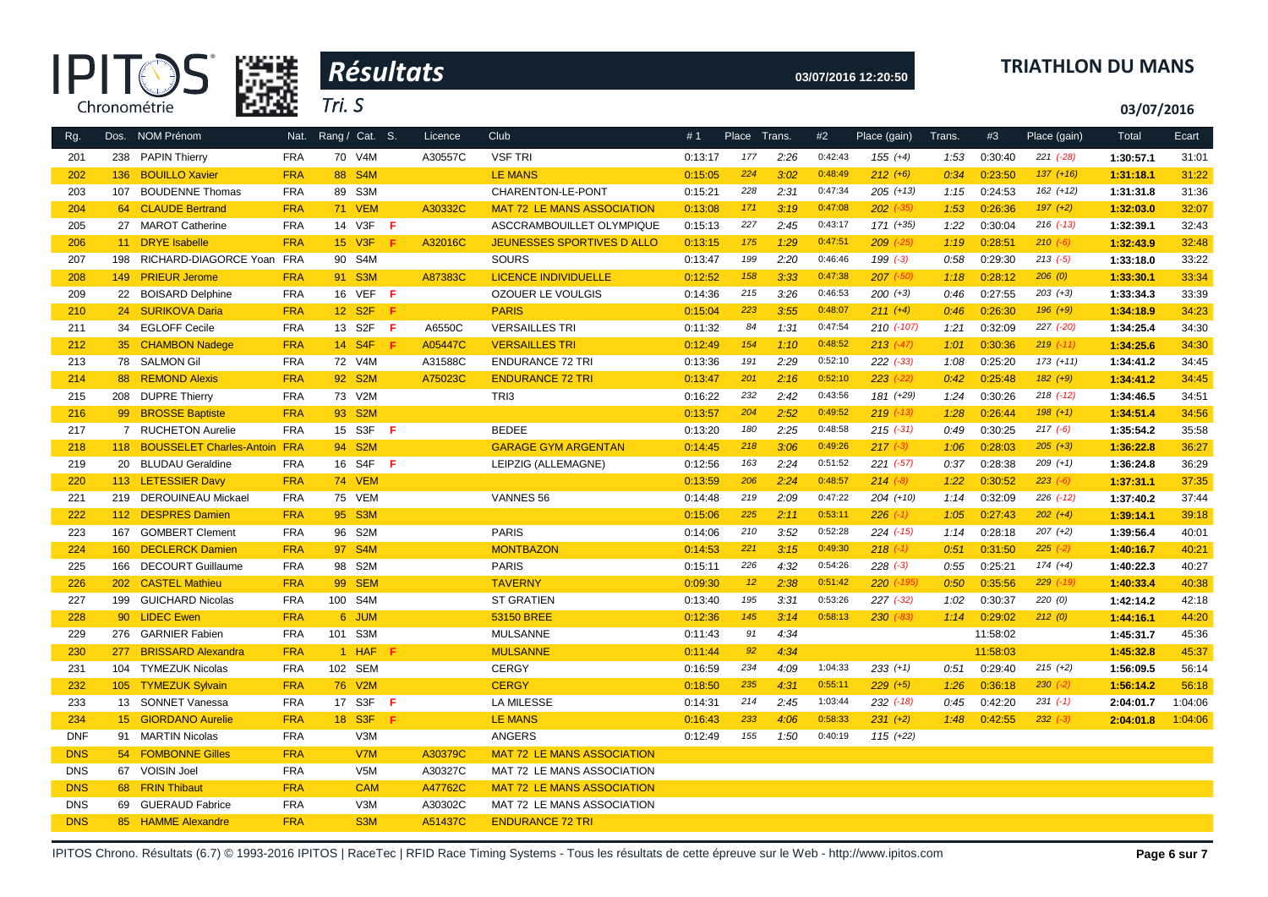|            | <b>IPITO</b>                     | 踪线         | Résultats                 |         |                                   |         |       |        |         | 03/07/2016 12:20:50 |        |          |               | <b>TRIATHLON DU MANS</b> |         |
|------------|----------------------------------|------------|---------------------------|---------|-----------------------------------|---------|-------|--------|---------|---------------------|--------|----------|---------------|--------------------------|---------|
|            | Chronométrie                     |            | Tri. S                    |         |                                   |         |       |        |         |                     |        |          |               | 03/07/2016               |         |
| Rg.        | Dos. NOM Prénom                  | Nat.       | Rang / Cat. S.            | Licence | Club                              | #1      | Place | Trans. | #2      | Place (gain)        | Trans. | #3       | Place (gain)  | Total                    | Ecart   |
| 201        | 238 PAPIN Thierry                | <b>FRA</b> | 70 V4M                    | A30557C | <b>VSF TRI</b>                    | 0:13:17 | 177   | 2:26   | 0:42:43 | $155 (+4)$          | 1:53   | 0:30:40  | $221 (-28)$   | 1:30:57.1                | 31:01   |
| 202        | 136 BOUILLO Xavier               | <b>FRA</b> | 88 S4M                    |         | <b>LE MANS</b>                    | 0:15:05 | 224   | 3:02   | 0:48:49 | $212 (+6)$          | 0:34   | 0:23:50  | $137 (+16)$   | 1:31:18.1                | 31:22   |
| 203        | 107 BOUDENNE Thomas              | <b>FRA</b> | 89 S3M                    |         | CHARENTON-LE-PONT                 | 0:15:21 | 228   | 2:31   | 0:47:34 | $205 (+13)$         | 1:15   | 0:24:53  | $162 (+12)$   | 1:31:31.8                | 31:36   |
| 204        | 64 CLAUDE Bertrand               | <b>FRA</b> | <b>71 VEM</b>             | A30332C | <b>MAT 72 LE MANS ASSOCIATION</b> | 0:13:08 | 171   | 3:19   | 0:47:08 | $202$ $(-35)$       | 1:53   | 0:26:36  | $197 (+2)$    | 1:32:03.0                | 32:07   |
| 205        | 27 MAROT Catherine               | <b>FRA</b> | 14 V3F <b>F</b>           |         | ASCCRAMBOUILLET OLYMPIQUE         | 0:15:13 | 227   | 2:45   | 0:43:17 | 171 (+35)           | 1:22   | 0:30:04  | $216$ $(-13)$ | 1:32:39.1                | 32:43   |
| 206        | 11 DRYE Isabelle                 | <b>FRA</b> | 15 V3F<br>Æ               | A32016C | <b>JEUNESSES SPORTIVES D ALLO</b> | 0:13:15 | 175   | 1:29   | 0:47:51 | $209$ $(-25)$       | 1:19   | 0:28:51  | $210 (-6)$    | 1:32:43.9                | 32:48   |
| 207        | 198<br>RICHARD-DIAGORCE Yoan FRA |            | 90 S4M                    |         | SOURS                             | 0:13:47 | 199   | 2:20   | 0:46:46 | $199(-3)$           | 0:58   | 0:29:30  | $213(-5)$     | 1:33:18.0                | 33:22   |
| 208        | 149 PRIEUR Jerome                | <b>FRA</b> | 91 S3M                    | A87383C | <b>LICENCE INDIVIDUELLE</b>       | 0:12:52 | 158   | 3:33   | 0:47:38 | $207$ $(-50)$       | 1:18   | 0:28:12  | 206(0)        | 1:33:30.1                | 33:34   |
| 209        | 22 BOISARD Delphine              | <b>FRA</b> | 16 VEF F                  |         | OZOUER LE VOULGIS                 | 0:14:36 | 215   | 3:26   | 0:46:53 | $200 (+3)$          | 0:46   | 0:27:55  | $203 (+3)$    | 1:33:34.3                | 33:39   |
| 210        | 24 SURIKOVA Daria                | <b>FRA</b> | 12 S <sub>2</sub> F<br>-F |         | <b>PARIS</b>                      | 0:15:04 | 223   | 3:55   | 0:48:07 | $211 (+4)$          | 0:46   | 0:26:30  | $196 (+9)$    | 1:34:18.9                | 34:23   |
| 211        | 34 EGLOFF Cecile                 | <b>FRA</b> | 13 S2F<br>- F             | A6550C  | <b>VERSAILLES TRI</b>             | 0:11:32 | 84    | 1:31   | 0:47:54 | 210 (-107)          | 1:21   | 0:32:09  | 227 (-20)     | 1:34:25.4                | 34:30   |
| 212        | 35 CHAMBON Nadege                | <b>FRA</b> | 14 S4F<br>-F              | A05447C | <b>VERSAILLES TRI</b>             | 0:12:49 | 154   | 1:10   | 0:48:52 | $213 (+47)$         | 1:01   | 0:30:36  | $219$ $(-11)$ | 1:34:25.6                | 34:30   |
| 213        | 78 SALMON Gil                    | <b>FRA</b> | 72 V4M                    | A31588C | <b>ENDURANCE 72 TRI</b>           | 0:13:36 | 191   | 2:29   | 0:52:10 | $222$ $(-33)$       | 1:08   | 0:25:20  | $173 (+11)$   | 1:34:41.2                | 34:45   |
| 214        | 88 REMOND Alexis                 | <b>FRA</b> | 92 S2M                    | A75023C | <b>ENDURANCE 72 TRI</b>           | 0:13:47 | 201   | 2:16   | 0:52:10 | $223$ $(-22)$       | 0:42   | 0:25:48  | $182 (+9)$    | 1:34:41.2                | 34:45   |
| 215        | 208 DUPRE Thierry                | <b>FRA</b> | 73 V2M                    |         | TRI3                              | 0:16:22 | 232   | 2:42   | 0:43:56 | 181 (+29)           | 1:24   | 0:30:26  | $218$ $(-12)$ | 1:34:46.5                | 34:51   |
| 216        | 99 BROSSE Baptiste               | <b>FRA</b> | 93 S2M                    |         |                                   | 0:13:57 | 204   | 2:52   | 0:49:52 | $219$ $(-13)$       | 1:28   | 0:26:44  | $198 (+1)$    | 1:34:51.4                | 34:56   |
| 217        | 7 RUCHETON Aurelie               | <b>FRA</b> | 15 S3F<br>- F             |         | <b>BEDEE</b>                      | 0:13:20 | 180   | 2:25   | 0:48:58 | $215$ (-31)         | 0:49   | 0:30:25  | $217(-6)$     | 1:35:54.2                | 35:58   |
| 218        | 118 BOUSSELET Charles-Antoin FRA |            | 94 S <sub>2</sub> M       |         | <b>GARAGE GYM ARGENTAN</b>        | 0:14:45 | 218   | 3:06   | 0:49:26 | $217$ $(-3)$        | 1:06   | 0:28:03  | $205 (+3)$    | 1:36:22.8                | 36:27   |
| 219        | 20 BLUDAU Geraldine              | <b>FRA</b> | 16 S4F F                  |         | LEIPZIG (ALLEMAGNE)               | 0:12:56 | 163   | 2:24   | 0:51:52 | $221 (-57)$         | 0:37   | 0:28:38  | $209 (+1)$    | 1:36:24.8                | 36:29   |
| 220        | 113 LETESSIER Davy               | <b>FRA</b> | <b>74 VEM</b>             |         |                                   | 0:13:59 | 206   | 2:24   | 0:48:57 | $214 (-8)$          | 1:22   | 0:30:52  | $223 (-6)$    | 1:37:31.1                | 37:35   |
| 221        | 219 DEROUINEAU Mickael           | <b>FRA</b> | 75 VEM                    |         | VANNES 56                         | 0:14:48 | 219   | 2:09   | 0:47:22 | $204 (+10)$         | 1:14   | 0:32:09  | $226$ $(-12)$ | 1:37:40.2                | 37:44   |
| 222        | 112 DESPRES Damien               | <b>FRA</b> | 95 S3M                    |         |                                   | 0:15:06 | 225   | 2:11   | 0:53:11 | $226$ (-1)          | 1:05   | 0:27:43  | $202 (+4)$    | 1:39:14.1                | 39:18   |
| 223        | <b>GOMBERT Clement</b><br>167    | <b>FRA</b> | 96 S2M                    |         | <b>PARIS</b>                      | 0:14:06 | 210   | 3:52   | 0:52:28 | $224$ (-15)         | 1:14   | 0:28:18  | $207 (+2)$    | 1:39:56.4                | 40:01   |
| 224        | 160 DECLERCK Damien              | <b>FRA</b> | 97 S4M                    |         | <b>MONTBAZON</b>                  | 0:14:53 | 221   | 3:15   | 0:49:30 | $218$ (-1)          | 0:51   | 0:31:50  | $225 (-2)$    | 1:40:16.7                | 40:21   |
| 225        | 166 DECOURT Guillaume            | <b>FRA</b> | 98 S2M                    |         | <b>PARIS</b>                      | 0:15:11 | 226   | 4:32   | 0:54:26 | $228 (-3)$          | 0:55   | 0:25:21  | $174 (+4)$    | 1:40:22.3                | 40:27   |
| 226        | 202 CASTEL Mathieu               | <b>FRA</b> | 99 SEM                    |         | <b>TAVERNY</b>                    | 0:09:30 | 12    | 2:38   | 0:51:42 | 220 (-195)          | 0:50   | 0:35:56  | $229$ $(-19)$ | 1:40:33.4                | 40:38   |
| 227        | 199 GUICHARD Nicolas             | <b>FRA</b> | 100 S4M                   |         | <b>ST GRATIEN</b>                 | 0:13:40 | 195   | 3:31   | 0:53:26 | $227$ $(-32)$       | 1:02   | 0:30:37  | 220(0)        | 1:42:14.2                | 42:18   |
| 228        | 90 LIDEC Ewen                    | <b>FRA</b> | 6 JUM                     |         | 53150 BREE                        | 0:12:36 | 145   | 3:14   | 0:58:13 | $230$ $(-83)$       | 1:14   | 0:29:02  | 212(0)        | 1:44:16.1                | 44:20   |
| 229        | <b>GARNIER Fabien</b><br>276     | <b>FRA</b> | 101 S3M                   |         | <b>MULSANNE</b>                   | 0:11:43 | 91    | 4:34   |         |                     |        | 11:58:02 |               | 1:45:31.7                | 45:36   |
| 230        | 277 BRISSARD Alexandra           | <b>FRA</b> | 1 HAF<br>Æ                |         | <b>MULSANNE</b>                   | 0:11:44 | 92    | 4:34   |         |                     |        | 11:58:03 |               | 1:45:32.8                | 45:37   |
| 231        | 104 TYMEZUK Nicolas              | <b>FRA</b> | 102 SEM                   |         | <b>CERGY</b>                      | 0:16:59 | 234   | 4:09   | 1:04:33 | $233 (+1)$          | 0:51   | 0:29:40  | $215 (+2)$    | 1:56:09.5                | 56:14   |
| 232        | 105 TYMEZUK Sylvain              | <b>FRA</b> | 76 V2M                    |         | <b>CERGY</b>                      | 0:18:50 | 235   | 4:31   | 0:55:11 | $229 (+5)$          | 1:26   | 0:36:18  | $230 (-2)$    | 1:56:14.2                | 56:18   |
| 233        | 13 SONNET Vanessa                | <b>FRA</b> | 17 S3F<br>- F             |         | <b>LA MILESSE</b>                 | 0:14:31 | 214   | 2:45   | 1:03:44 | $232$ $(-18)$       | 0:45   | 0:42:20  | $231 (-1)$    | 2:04:01.7                | 1:04:06 |
| 234        | 15 GIORDANO Aurelie              | <b>FRA</b> | 18 S3F<br>-F              |         | <b>LE MANS</b>                    | 0:16:43 | 233   | 4:06   | 0:58:33 | $231 (+2)$          | 1:48   | 0:42:55  | $232 (-3)$    | 2:04:01.8                | 1:04:06 |
| <b>DNF</b> | 91 MARTIN Nicolas                | <b>FRA</b> | V3M                       |         | ANGERS                            | 0:12:49 | 155   | 1:50   | 0:40:19 | $115 (+22)$         |        |          |               |                          |         |
| <b>DNS</b> | 54 FOMBONNE Gilles               | <b>FRA</b> | V7M                       | A30379C | <b>MAT 72 LE MANS ASSOCIATION</b> |         |       |        |         |                     |        |          |               |                          |         |
| <b>DNS</b> | <b>VOISIN Joel</b><br>67         | <b>FRA</b> | V5M                       | A30327C | MAT 72 LE MANS ASSOCIATION        |         |       |        |         |                     |        |          |               |                          |         |
| <b>DNS</b> | 68 FRIN Thibaut                  | <b>FRA</b> | <b>CAM</b>                | A47762C | <b>MAT 72 LE MANS ASSOCIATION</b> |         |       |        |         |                     |        |          |               |                          |         |
| <b>DNS</b> | <b>GUERAUD Fabrice</b><br>69     | <b>FRA</b> | V3M                       | A30302C | MAT 72 LE MANS ASSOCIATION        |         |       |        |         |                     |        |          |               |                          |         |
| <b>DNS</b> | 85 HAMME Alexandre               | <b>FRA</b> | S <sub>3</sub> M          | A51437C | <b>ENDURANCE 72 TRI</b>           |         |       |        |         |                     |        |          |               |                          |         |
|            |                                  |            |                           |         |                                   |         |       |        |         |                     |        |          |               |                          |         |

IPITOS Chrono. Résultats (6.7) © 1993-2016 IPITOS | RaceTec | RFID Race Timing Systems - Tous les résultats de cette épreuve sur le Web - http://www.ipitos.com Page 6 sur 7

## **03/07/2016 12:20:50 TRIATHLON DU MANS**